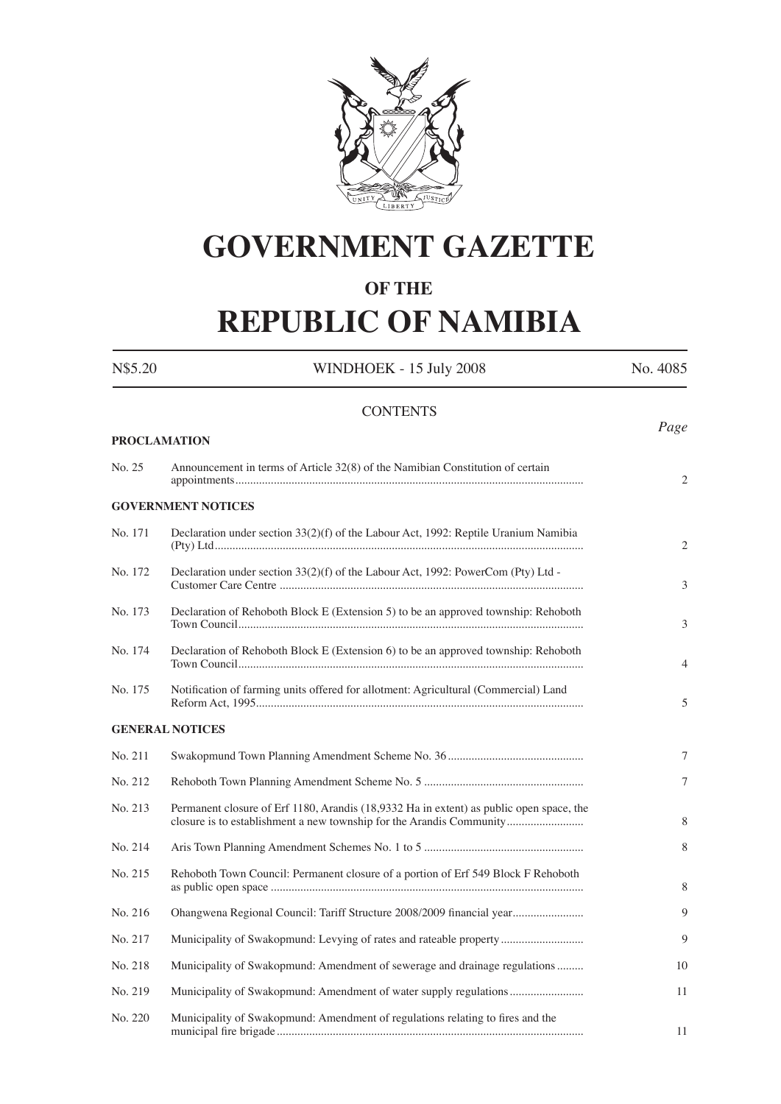

# **GOVERNMENT GAZETTE**

# **OF THE**

# **REPUBLIC OF NAMIBIA**

| N\$5.20             | WINDHOEK - 15 July 2008                                                                                                                                         | No. 4085       |
|---------------------|-----------------------------------------------------------------------------------------------------------------------------------------------------------------|----------------|
|                     | <b>CONTENTS</b>                                                                                                                                                 |                |
| <b>PROCLAMATION</b> |                                                                                                                                                                 | Page           |
| No. 25              | Announcement in terms of Article 32(8) of the Namibian Constitution of certain                                                                                  | $\overline{2}$ |
|                     | <b>GOVERNMENT NOTICES</b>                                                                                                                                       |                |
| No. 171             | Declaration under section $33(2)(f)$ of the Labour Act, 1992: Reptile Uranium Namibia                                                                           | $\overline{2}$ |
| No. 172             | Declaration under section $33(2)(f)$ of the Labour Act, 1992: PowerCom (Pty) Ltd -                                                                              | 3              |
| No. 173             | Declaration of Rehoboth Block E (Extension 5) to be an approved township: Rehoboth                                                                              | 3              |
| No. 174             | Declaration of Rehoboth Block E (Extension 6) to be an approved township: Rehoboth                                                                              | 4              |
| No. 175             | Notification of farming units offered for allotment: Agricultural (Commercial) Land                                                                             | 5              |
|                     | <b>GENERAL NOTICES</b>                                                                                                                                          |                |
| No. 211             |                                                                                                                                                                 | 7              |
| No. 212             |                                                                                                                                                                 | 7              |
| No. 213             | Permanent closure of Erf 1180, Arandis (18,9332 Ha in extent) as public open space, the<br>closure is to establishment a new township for the Arandis Community | 8              |
| No. 214             |                                                                                                                                                                 | 8              |
| No. 215             | Rehoboth Town Council: Permanent closure of a portion of Erf 549 Block F Rehoboth                                                                               | 8              |
| No. 216             | Ohangwena Regional Council: Tariff Structure 2008/2009 financial year                                                                                           | 9              |
| No. 217             | Municipality of Swakopmund: Levying of rates and rateable property                                                                                              | 9              |
| No. 218             | Municipality of Swakopmund: Amendment of sewerage and drainage regulations                                                                                      | 10             |
| No. 219             | Municipality of Swakopmund: Amendment of water supply regulations                                                                                               | 11             |
| No. 220             | Municipality of Swakopmund: Amendment of regulations relating to fires and the                                                                                  | 11             |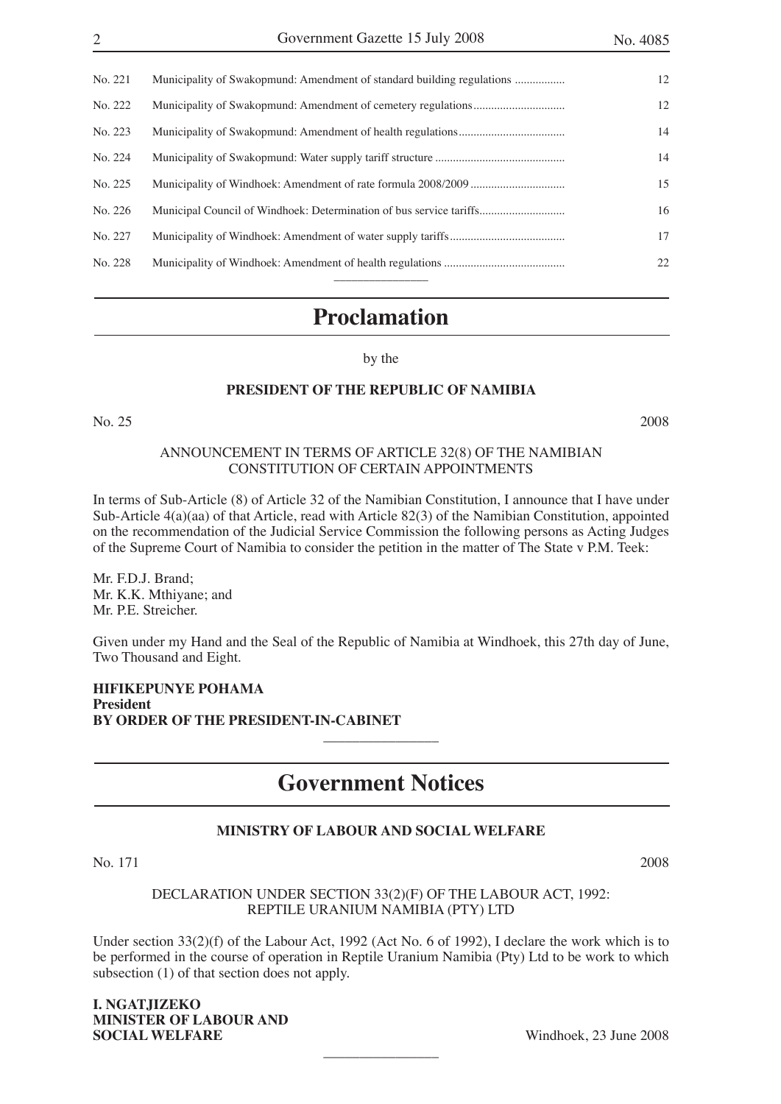| No. 221 | Municipality of Swakopmund: Amendment of standard building regulations | 12 |
|---------|------------------------------------------------------------------------|----|
| No. 222 |                                                                        | 12 |
| No. 223 |                                                                        | 14 |
| No. 224 |                                                                        | 14 |
| No. 225 |                                                                        | 15 |
| No. 226 | Municipal Council of Windhoek: Determination of bus service tariffs    | 16 |
| No. 227 |                                                                        | 17 |
| No. 228 |                                                                        | 22 |
|         |                                                                        |    |

### **Proclamation**

by the

#### **PRESIDENT OF THE REPUBLIC OF NAMIBIA**

#### No. 25 2008

#### ANNOUNCEMENT IN TERMS OF ARTICLE 32(8) OF THE NAMIBIAN CONSTITUTION OF CERTAIN APPOINTMENTS

In terms of Sub-Article (8) of Article 32 of the Namibian Constitution, I announce that I have under Sub-Article 4(a)(aa) of that Article, read with Article 82(3) of the Namibian Constitution, appointed on the recommendation of the Judicial Service Commission the following persons as Acting Judges of the Supreme Court of Namibia to consider the petition in the matter of The State v P.M. Teek:

Mr. F.D.J. Brand; Mr. K.K. Mthiyane; and Mr. P.E. Streicher.

Given under my Hand and the Seal of the Republic of Namibia at Windhoek, this 27th day of June, Two Thousand and Eight.

**HIFIKEPUNYE POHAMA President BY ORDER OF THE PRESIDENT-IN-CABINET**

# **Government Notices**

 $\overline{\phantom{a}}$  , where  $\overline{\phantom{a}}$ 

#### **MINISTRY OF LABOUR AND SOCIAL WELFARE**

No. 171 2008

DECLARATION UNDER SECTION 33(2)(F) OF THE LABOUR ACT, 1992: REPTILE URANIUM NAMIBIA (PTY) LTD

Under section 33(2)(f) of the Labour Act, 1992 (Act No. 6 of 1992), I declare the work which is to be performed in the course of operation in Reptile Uranium Namibia (Pty) Ltd to be work to which subsection (1) of that section does not apply.

 $\overline{\phantom{a}}$  , where  $\overline{\phantom{a}}$ 

**I. NGATJIZEKO MINISTER OF LABOUR AND SOCIAL WELFARE** Windhoek, 23 June 2008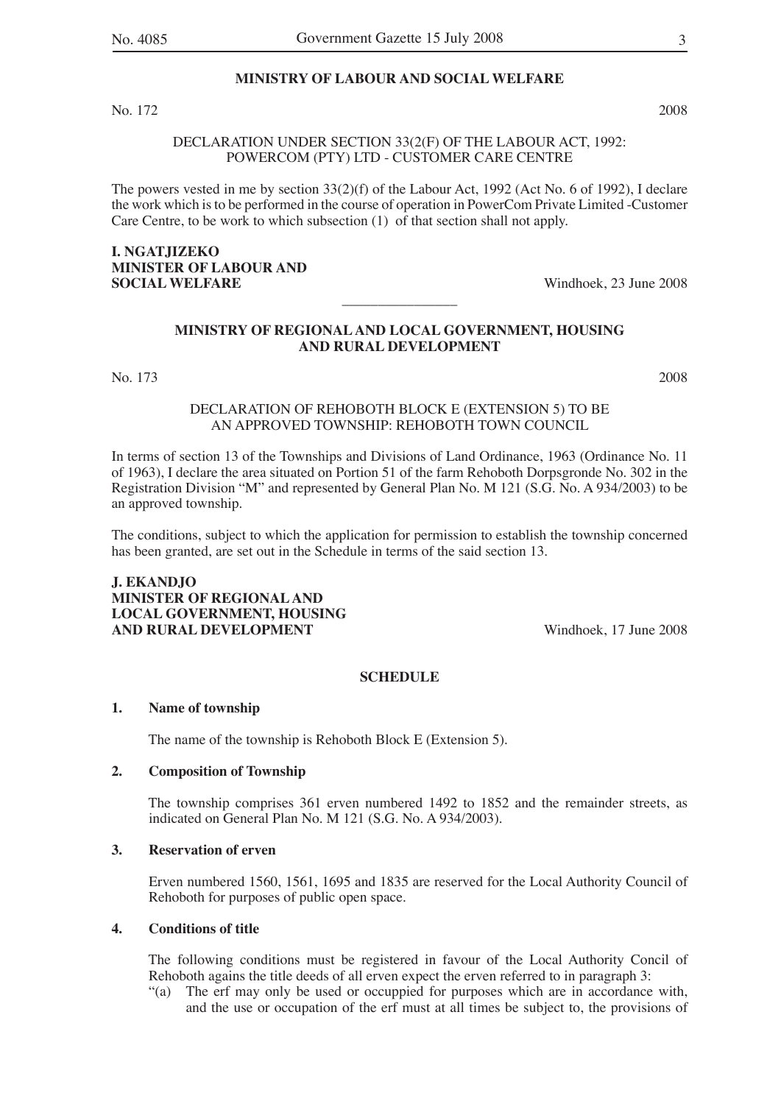#### **MINISTRY OF LABOUR AND SOCIAL WELFARE**

No. 172 2008

DECLARATION UNDER SECTION 33(2(F) OF THE LABOUR ACT, 1992: POWERCOM (PTY) LTD - CUSTOMER CARE CENTRE

The powers vested in me by section 33(2)(f) of the Labour Act, 1992 (Act No. 6 of 1992), I declare the work which is to be performed in the course of operation in PowerCom Private Limited -Customer Care Centre, to be work to which subsection (1) of that section shall not apply.

# **I. NGATJIZEKO MINISTER OF LABOUR AND**

**SOCIAL WELFARE** Windhoek, 23 June 2008

#### **MINISTRY OF REGIONAL AND LOCAL GOVERNMENT, HOUSING AND RURAL DEVELOPMENT**

 $\overline{\phantom{a}}$  , where  $\overline{\phantom{a}}$ 

No. 173 2008

#### DECLARATION OF REHOBOTH BLOCK E (EXTENSION 5) TO BE AN APPROVED TOWNSHIP: REHOBOTH TOWN COUNCIL

In terms of section 13 of the Townships and Divisions of Land Ordinance, 1963 (Ordinance No. 11 of 1963), I declare the area situated on Portion 51 of the farm Rehoboth Dorpsgronde No. 302 in the Registration Division "M" and represented by General Plan No. M 121 (S.G. No. A 934/2003) to be an approved township.

The conditions, subject to which the application for permission to establish the township concerned has been granted, are set out in the Schedule in terms of the said section 13.

#### **J. EKANDJO MINISTER OF REGIONAL AND LOCAL GOVERNMENT, HOUSING AND RURAL DEVELOPMENT** Windhoek, 17 June 2008

#### **SCHEDULE**

#### **1. Name of township**

The name of the township is Rehoboth Block E (Extension 5).

#### **2. Composition of Township**

The township comprises 361 erven numbered 1492 to 1852 and the remainder streets, as indicated on General Plan No. M 121 (S.G. No. A 934/2003).

#### **3. Reservation of erven**

Erven numbered 1560, 1561, 1695 and 1835 are reserved for the Local Authority Council of Rehoboth for purposes of public open space.

#### **4. Conditions of title**

The following conditions must be registered in favour of the Local Authority Concil of Rehoboth agains the title deeds of all erven expect the erven referred to in paragraph 3:

"(a) The erf may only be used or occuppied for purposes which are in accordance with, and the use or occupation of the erf must at all times be subject to, the provisions of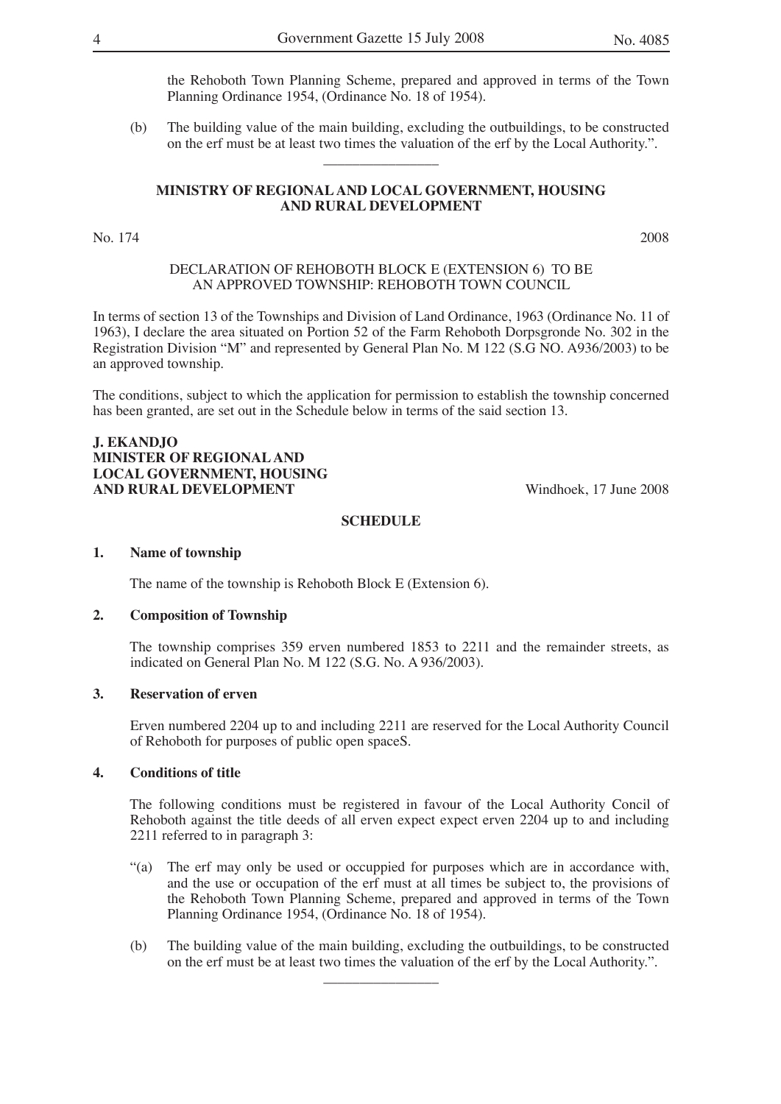the Rehoboth Town Planning Scheme, prepared and approved in terms of the Town Planning Ordinance 1954, (Ordinance No. 18 of 1954).

(b) The building value of the main building, excluding the outbuildings, to be constructed on the erf must be at least two times the valuation of the erf by the Local Authority.".

#### **MINISTRY OF REGIONAL AND LOCAL GOVERNMENT, HOUSING AND RURAL DEVELOPMENT**

 $\overline{\phantom{a}}$  , where  $\overline{\phantom{a}}$ 

#### No. 174 2008

#### DECLARATION OF REHOBOTH BLOCK E (EXTENSION 6) TO BE AN APPROVED TOWNSHIP: REHOBOTH TOWN COUNCIL

In terms of section 13 of the Townships and Division of Land Ordinance, 1963 (Ordinance No. 11 of 1963), I declare the area situated on Portion 52 of the Farm Rehoboth Dorpsgronde No. 302 in the Registration Division "M" and represented by General Plan No. M 122 (S.G NO. A936/2003) to be an approved township.

The conditions, subject to which the application for permission to establish the township concerned has been granted, are set out in the Schedule below in terms of the said section 13.

#### **J. EKANDJO MINISTER OF REGIONAL AND LOCAL GOVERNMENT, HOUSING AND RURAL DEVELOPMENT** Windhoek, 17 June 2008

#### **SCHEDULE**

#### **1. Name of township**

The name of the township is Rehoboth Block E (Extension 6).

#### **2. Composition of Township**

The township comprises 359 erven numbered 1853 to 2211 and the remainder streets, as indicated on General Plan No. M 122 (S.G. No. A 936/2003).

#### **3. Reservation of erven**

Erven numbered 2204 up to and including 2211 are reserved for the Local Authority Council of Rehoboth for purposes of public open spaceS.

#### **4. Conditions of title**

The following conditions must be registered in favour of the Local Authority Concil of Rehoboth against the title deeds of all erven expect expect erven 2204 up to and including 2211 referred to in paragraph 3:

- "(a) The erf may only be used or occuppied for purposes which are in accordance with, and the use or occupation of the erf must at all times be subject to, the provisions of the Rehoboth Town Planning Scheme, prepared and approved in terms of the Town Planning Ordinance 1954, (Ordinance No. 18 of 1954).
- (b) The building value of the main building, excluding the outbuildings, to be constructed on the erf must be at least two times the valuation of the erf by the Local Authority.".

 $\overline{\phantom{a}}$  , where  $\overline{\phantom{a}}$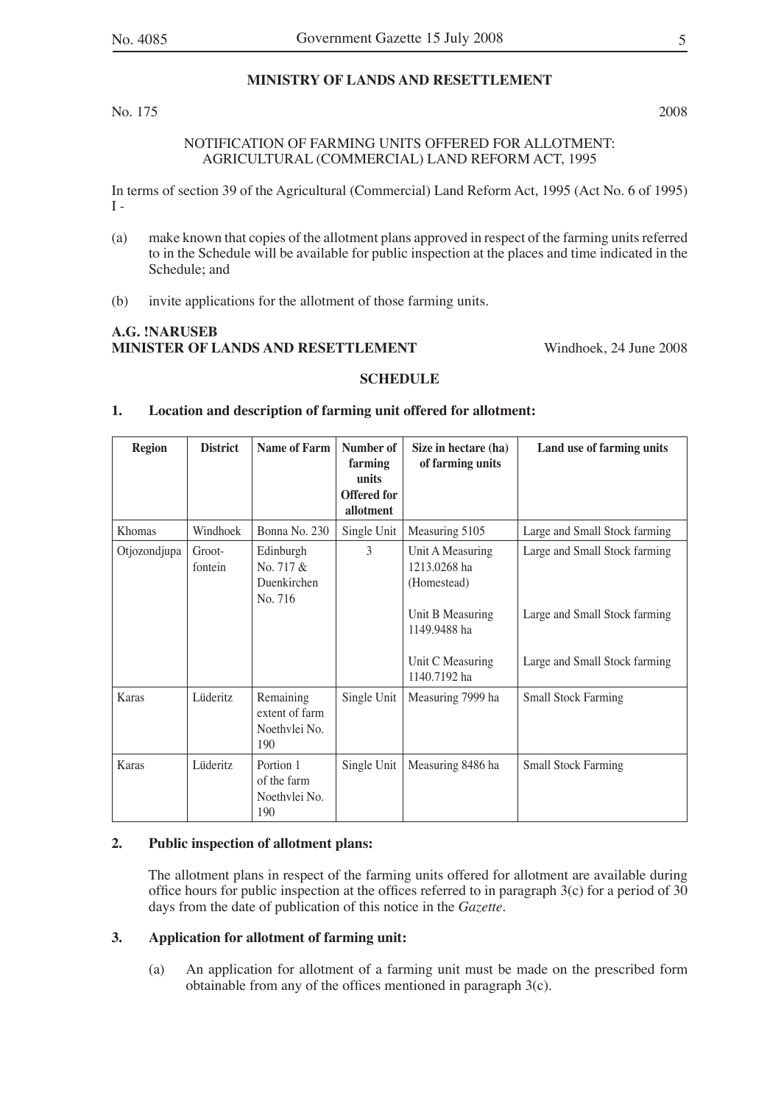#### **MINISTRY OF LANDS AND RESETTLEMENT**

No. 175 2008

#### NOTIFICATION OF FARMING UNITS OFFERED FOR ALLOTMENT: AGRICULTURAL (COMMERCIAL) LAND REFORM ACT, 1995

In terms of section 39 of the Agricultural (Commercial) Land Reform Act, 1995 (Act No. 6 of 1995)  $I -$ 

- (a) make known that copies of the allotment plans approved in respect of the farming units referred to in the Schedule will be available for public inspection at the places and time indicated in the Schedule; and
- (b) invite applications for the allotment of those farming units.

#### **A.G. !NARUSEB MINISTER OF LANDS AND RESETTLEMENT** Windhoek, 24 June 2008

#### **SCHEDULE**

#### **1. Location and description of farming unit offered for allotment:**

| <b>Region</b> | <b>District</b>   | <b>Name of Farm</b>                                 | Number of<br>farming<br>units<br><b>Offered for</b><br>allotment | Size in hectare (ha)<br>of farming units                                                                                | Land use of farming units                                                                       |
|---------------|-------------------|-----------------------------------------------------|------------------------------------------------------------------|-------------------------------------------------------------------------------------------------------------------------|-------------------------------------------------------------------------------------------------|
| Khomas        | Windhoek          | Bonna No. 230                                       | Single Unit                                                      | Measuring 5105                                                                                                          | Large and Small Stock farming                                                                   |
| Otjozondjupa  | Groot-<br>fontein | Edinburgh<br>No. 717 &<br>Duenkirchen<br>No. 716    | 3                                                                | Unit A Measuring<br>1213.0268 ha<br>(Homestead)<br>Unit B Measuring<br>1149.9488 ha<br>Unit C Measuring<br>1140.7192 ha | Large and Small Stock farming<br>Large and Small Stock farming<br>Large and Small Stock farming |
| Karas         | Lüderitz          | Remaining<br>extent of farm<br>Noethylei No.<br>190 | Single Unit                                                      | Measuring 7999 ha                                                                                                       | <b>Small Stock Farming</b>                                                                      |
| Karas         | Lüderitz          | Portion 1<br>of the farm<br>Noethylei No.<br>190    | Single Unit                                                      | Measuring 8486 ha                                                                                                       | <b>Small Stock Farming</b>                                                                      |

#### **2. Public inspection of allotment plans:**

The allotment plans in respect of the farming units offered for allotment are available during office hours for public inspection at the offices referred to in paragraph 3(c) for a period of 30 days from the date of publication of this notice in the *Gazette.*

#### **3. Application for allotment of farming unit:**

(a) An application for allotment of a farming unit must be made on the prescribed form obtainable from any of the offices mentioned in paragraph 3(c).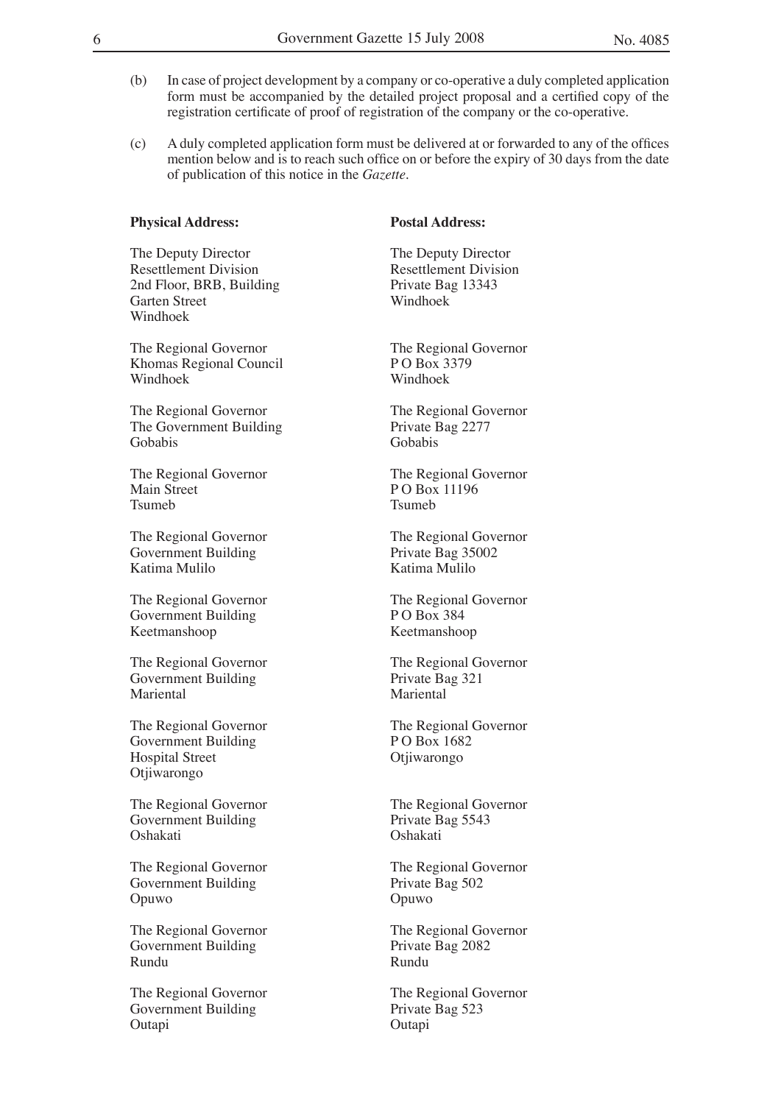- (b) In case of project development by a company or co-operative a duly completed application form must be accompanied by the detailed project proposal and a certified copy of the registration certificate of proof of registration of the company or the co-operative.
- (c) A duly completed application form must be delivered at or forwarded to any of the offices mention below and is to reach such office on or before the expiry of 30 days from the date of publication of this notice in the *Gazette*.

#### **Physical Address: Postal Address:**

The Deputy Director<br>
Resettlement Division<br>
Resettlement Division<br>
Resettlement Division Resettlement Division<br>
2nd Floor, BRB, Building<br>
Private Bag 13343 2nd Floor, BRB, Building Private Bag 133434 Private Bag 133434 Private Bag 133434 Private Bag 133434 Private Bag 133434 Private Bag 133434 Private Bag 133434 Private Bag 133434 Private Bag 133434 Private Bag 1344 Garten Street Windhoek

The Regional Governor<br>
Khomas Regional Council<br>
P O Box 3379 Khomas Regional Council PO Box 3<br>Windhoek Windhoek Windhoek Windhoek

The Regional Governor<br>
The Regional Governor<br>
The Government Building<br>
Private Bag 2277 The Government Building Private B<br>
Private Bag 22777<br>
Robabis Gobabis Gobabis

Main Street P O Box 11196<br>Tsumeb Tsumeb Tsumeb Tsumeb Tsumeb

The Regional Governor<br>
Government Building<br>
The Regional Governor<br>
Private Bag 35002 Government Building<br>
Katima Mulilo<br>
Katima Mulilo<br>
Katima Mulilo Katima Mulilo

The Regional Governor<br>
Government Building<br>
The Regional Governor<br>
P O Box 384 Government Building<br>
Reetmanshoop<br>
Reetmanshoop<br>
Reetmanshoop Keetmanshoop Keetmanshoop

The Regional Governor<br>
Government Building<br>
The Regional Governor<br>
Private Bag 321 Government Building<br>
Mariental Private Bag 321<br>
Mariental Private Bag 321 **Mariental** 

Government Building<br>
Hospital Street<br>
Otijwarongo Hospital Street Otjiwarongo

The Regional Governor<br>
Government Building<br>
The Regional Governor<br>
Private Bag 5543 Government Building Private Bag 5543 Oshakati

Government Building Private<br>
Opuwo<br>
Opuwo<br>
Opuwo Opuwo

The Regional Governor<br>
Government Building<br>
The Regional Governor<br>
Private Bag 2082 Government Building Private<br>Rundu Rundu Rundu Rundu

The Regional Governor<br>
Government Building<br>
The Regional Governor<br>
Private Bag 523 Government Building Private<br>
Private<br>
Outapi<br>
Outapi **Outapi** 

The Regional Governor<br>
Main Street<br>
P O Box 11196

The Regional Governor<br>
Government Building<br>
P O Box 1682

The Regional Governor<br>
Government Building<br>
The Regional Governor<br>
Private Bag 502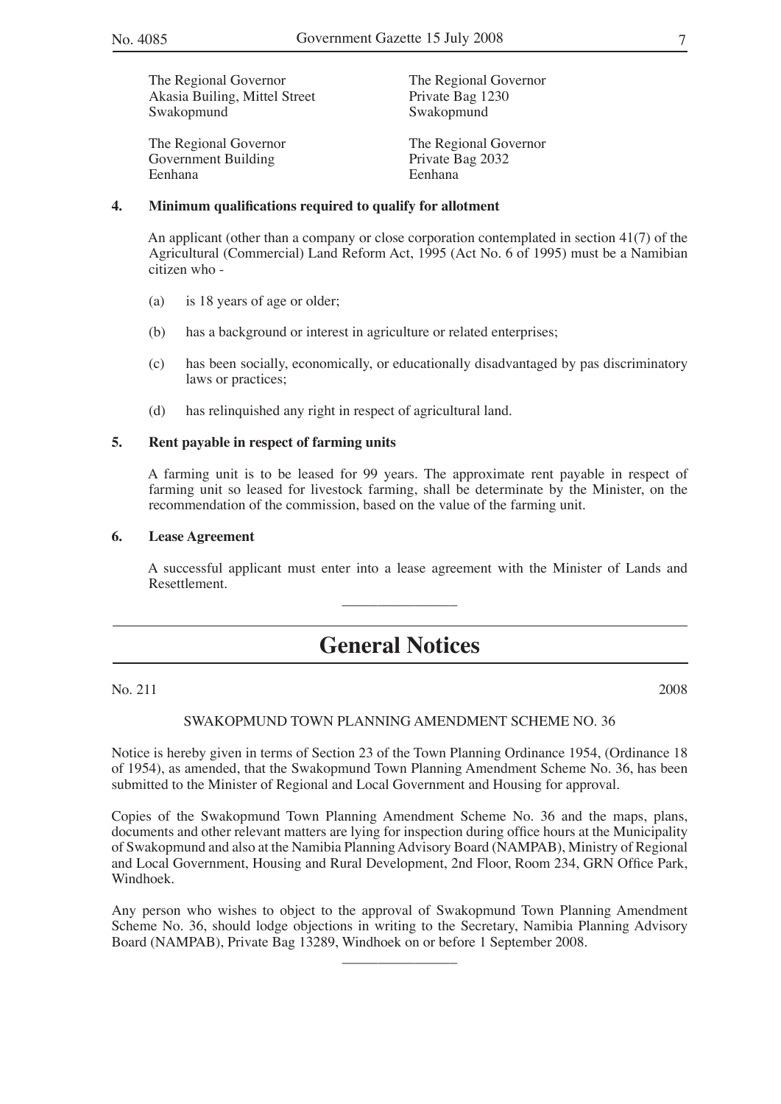The Regional Governor<br>
Akasia Builing, Mittel Street<br>
Private Bag 1230 Akasia Builing, Mittel Street Private Bag 12<br>Swakopmund Swakopmund Swakopmund

Government Building<br>
Eenhana<br>
Eenhana<br>
Eenhana Eenhana

The Regional Governor<br>
Government Building<br>
The Regional Governor<br>
Private Bag 2032

#### **4. Minimum qualifications required to qualify for allotment**

An applicant (other than a company or close corporation contemplated in section 41(7) of the Agricultural (Commercial) Land Reform Act, 1995 (Act No. 6 of 1995) must be a Namibian citizen who -

- (a) is 18 years of age or older;
- (b) has a background or interest in agriculture or related enterprises;
- (c) has been socially, economically, or educationally disadvantaged by pas discriminatory laws or practices;
- (d) has relinquished any right in respect of agricultural land.

#### **5. Rent payable in respect of farming units**

A farming unit is to be leased for 99 years. The approximate rent payable in respect of farming unit so leased for livestock farming, shall be determinate by the Minister, on the recommendation of the commission, based on the value of the farming unit.

#### **6. Lease Agreement**

A successful applicant must enter into a lease agreement with the Minister of Lands and Resettlement.

# **General Notices**

 $\overline{\phantom{a}}$  , where  $\overline{\phantom{a}}$ 

No. 211 2008

#### SWAKOPMUND TOWN PLANNING AMENDMENT SCHEME NO. 36

Notice is hereby given in terms of Section 23 of the Town Planning Ordinance 1954, (Ordinance 18 of 1954), as amended, that the Swakopmund Town Planning Amendment Scheme No. 36, has been submitted to the Minister of Regional and Local Government and Housing for approval.

Copies of the Swakopmund Town Planning Amendment Scheme No. 36 and the maps, plans, documents and other relevant matters are lying for inspection during office hours at the Municipality of Swakopmund and also at the Namibia Planning Advisory Board (NAMPAB), Ministry of Regional and Local Government, Housing and Rural Development, 2nd Floor, Room 234, GRN Office Park, Windhoek.

Any person who wishes to object to the approval of Swakopmund Town Planning Amendment Scheme No. 36, should lodge objections in writing to the Secretary, Namibia Planning Advisory Board (NAMPAB), Private Bag 13289, Windhoek on or before 1 September 2008.

 $\overline{\phantom{a}}$  , where  $\overline{\phantom{a}}$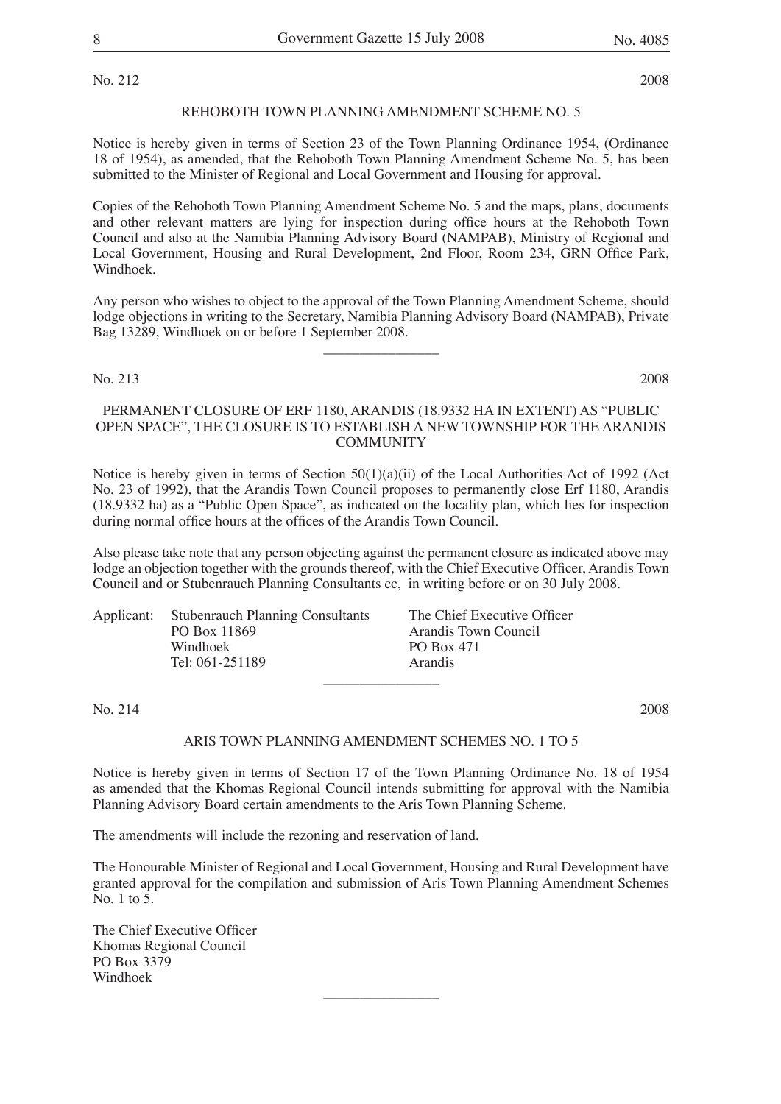No. 212 2008

#### REHOBOTH TOWN PLANNING AMENDMENT SCHEME NO. 5

Notice is hereby given in terms of Section 23 of the Town Planning Ordinance 1954, (Ordinance 18 of 1954), as amended, that the Rehoboth Town Planning Amendment Scheme No. 5, has been submitted to the Minister of Regional and Local Government and Housing for approval.

Copies of the Rehoboth Town Planning Amendment Scheme No. 5 and the maps, plans, documents and other relevant matters are lying for inspection during office hours at the Rehoboth Town Council and also at the Namibia Planning Advisory Board (NAMPAB), Ministry of Regional and Local Government, Housing and Rural Development, 2nd Floor, Room 234, GRN Office Park, Windhoek.

Any person who wishes to object to the approval of the Town Planning Amendment Scheme, should lodge objections in writing to the Secretary, Namibia Planning Advisory Board (NAMPAB), Private Bag 13289, Windhoek on or before 1 September 2008.

 $\overline{\phantom{a}}$  , where  $\overline{\phantom{a}}$ 

No. 213 2008

#### PERMANENT CLOSURE OF ERF 1180, ARANDIS (18.9332 HA IN EXTENT) AS "PUBLIC OPEN SPACE", THE CLOSURE IS TO ESTABLISH A NEW TOWNSHIP FOR THE ARANDIS **COMMUNITY**

Notice is hereby given in terms of Section 50(1)(a)(ii) of the Local Authorities Act of 1992 (Act No. 23 of 1992), that the Arandis Town Council proposes to permanently close Erf 1180, Arandis (18.9332 ha) as a "Public Open Space", as indicated on the locality plan, which lies for inspection during normal office hours at the offices of the Arandis Town Council.

Also please take note that any person objecting against the permanent closure as indicated above may lodge an objection together with the grounds thereof, with the Chief Executive Officer, Arandis Town Council and or Stubenrauch Planning Consultants cc, in writing before or on 30 July 2008.

| Applicant: Stubenrauch Planning Consultants | The Chief Executive Officer |
|---------------------------------------------|-----------------------------|
| PO Box 11869                                | Arandis Town Council        |
| Windhoek                                    | PO Box 471                  |
| Tel: 061-251189                             | <b>Arandis</b>              |
|                                             |                             |

No. 214 2008

#### ARIS TOWN PLANNING AMENDMENT SCHEMES NO. 1 TO 5

Notice is hereby given in terms of Section 17 of the Town Planning Ordinance No. 18 of 1954 as amended that the Khomas Regional Council intends submitting for approval with the Namibia Planning Advisory Board certain amendments to the Aris Town Planning Scheme.

The amendments will include the rezoning and reservation of land.

The Honourable Minister of Regional and Local Government, Housing and Rural Development have granted approval for the compilation and submission of Aris Town Planning Amendment Schemes No. 1 to  $\overline{5}$ .

 $\overline{\phantom{a}}$  , where  $\overline{\phantom{a}}$ 

The Chief Executive Officer Khomas Regional Council PO Box 3379 Windhoek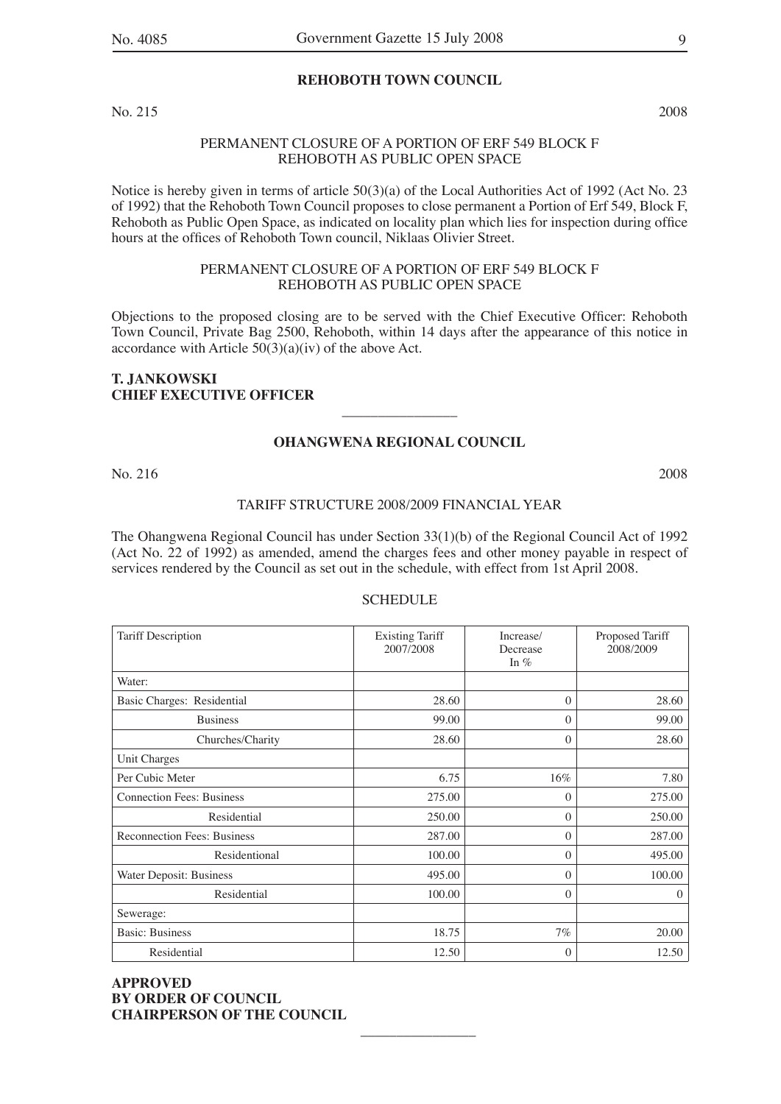#### **REHOBOTH TOWN COUNCIL**

No. 215 2008

#### PERMANENT CLOSURE OF A PORTION OF ERF 549 BLOCK F REHOBOTH AS PUBLIC OPEN SPACE

Notice is hereby given in terms of article 50(3)(a) of the Local Authorities Act of 1992 (Act No. 23 of 1992) that the Rehoboth Town Council proposes to close permanent a Portion of Erf 549, Block F, Rehoboth as Public Open Space, as indicated on locality plan which lies for inspection during office hours at the offices of Rehoboth Town council, Niklaas Olivier Street.

#### PERMANENT CLOSURE OF A PORTION OF ERF 549 BLOCK F REHOBOTH AS PUBLIC OPEN SPACE

Objections to the proposed closing are to be served with the Chief Executive Officer: Rehoboth Town Council, Private Bag 2500, Rehoboth, within 14 days after the appearance of this notice in accordance with Article  $50(3)(a)(iv)$  of the above Act.

#### **T. JANKOWSKI CHIEF EXECUTIVE OFFICER**

#### **OHANGWENA REGIONAL COUNCIL**

 $\overline{\phantom{a}}$  , where  $\overline{\phantom{a}}$ 

No. 216 2008

#### TARIFF STRUCTURE 2008/2009 FINANCIAL YEAR

The Ohangwena Regional Council has under Section 33(1)(b) of the Regional Council Act of 1992 (Act No. 22 of 1992) as amended, amend the charges fees and other money payable in respect of services rendered by the Council as set out in the schedule, with effect from 1st April 2008.

#### SCHEDULE

| <b>Tariff Description</b>          | <b>Existing Tariff</b><br>2007/2008 | Increase/<br>Decrease<br>In $%$ | Proposed Tariff<br>2008/2009 |  |
|------------------------------------|-------------------------------------|---------------------------------|------------------------------|--|
| Water:                             |                                     |                                 |                              |  |
| Basic Charges: Residential         | 28.60                               | $\Omega$                        | 28.60                        |  |
| <b>Business</b>                    | 99.00                               | 0                               | 99.00                        |  |
| Churches/Charity                   | 28.60                               | $\Omega$                        | 28.60                        |  |
| Unit Charges                       |                                     |                                 |                              |  |
| Per Cubic Meter                    | 6.75                                | 16%                             | 7.80                         |  |
| <b>Connection Fees: Business</b>   | 275.00                              | $\Omega$                        | 275.00                       |  |
| Residential                        | 250.00                              | $\Omega$                        | 250.00                       |  |
| <b>Reconnection Fees: Business</b> | 287.00                              | $\Omega$                        | 287.00                       |  |
| Residentional                      | 100.00                              | $\Omega$                        | 495.00                       |  |
| Water Deposit: Business            | 495.00                              | $\Omega$                        | 100.00                       |  |
| Residential                        | 100.00                              | $\Omega$                        | $\theta$                     |  |
| Sewerage:                          |                                     |                                 |                              |  |
| <b>Basic: Business</b>             | 18.75                               | 7%                              | 20.00                        |  |
| Residential                        | 12.50                               | $\Omega$                        | 12.50                        |  |

 $\overline{\phantom{a}}$  , where  $\overline{\phantom{a}}$ 

**APPROVED BY ORDER OF COUNCIL CHAIRPERSON OF THE COUNCIL**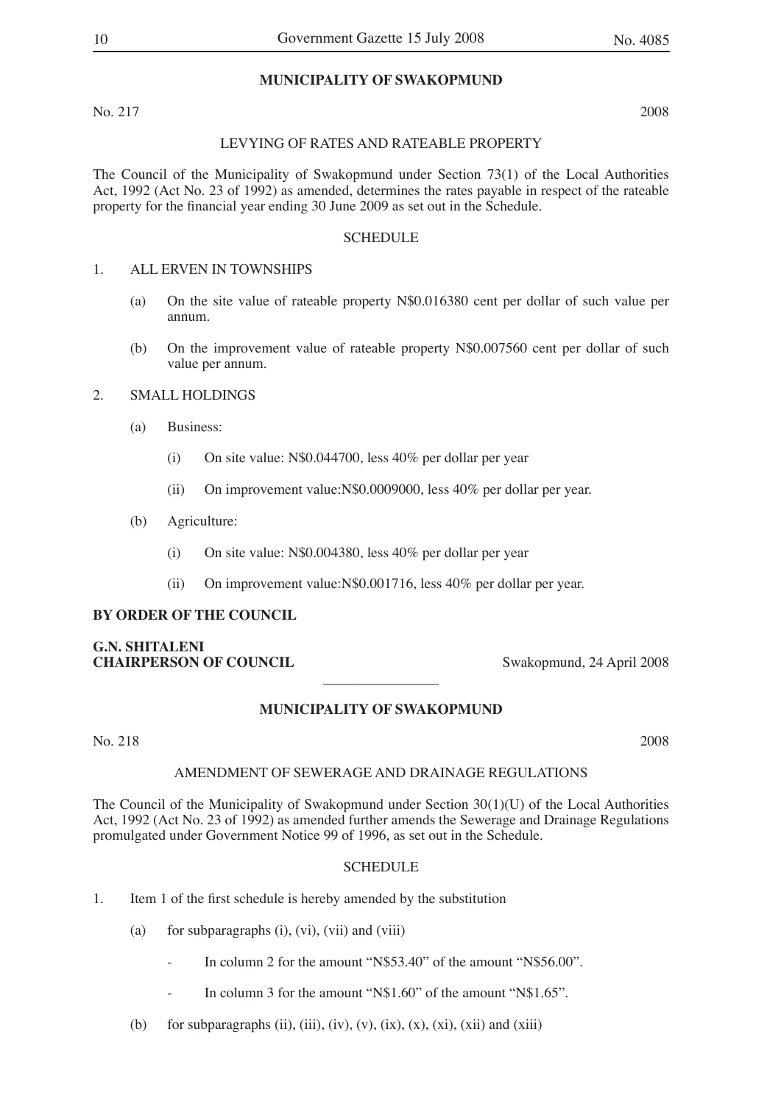#### **MUNICIPALITY OF SWAKOPMUND**

No. 217 2008

#### LEVYING OF RATES AND RATEABLE PROPERTY

The Council of the Municipality of Swakopmund under Section 73(1) of the Local Authorities Act, 1992 (Act No. 23 of 1992) as amended, determines the rates payable in respect of the rateable property for the financial year ending 30 June 2009 as set out in the Schedule.

#### **SCHEDULE**

#### 1. ALL ERVEN IN TOWNSHIPS

- (a) On the site value of rateable property N\$0.016380 cent per dollar of such value per annum.
- (b) On the improvement value of rateable property N\$0.007560 cent per dollar of such value per annum.

#### 2. SMALL HOLDINGS

- (a) Business:
	- (i) On site value: N\$0.044700, less 40% per dollar per year
	- (ii) On improvement value:N\$0.0009000, less 40% per dollar per year.
- (b) Agriculture:
	- (i) On site value: N\$0.004380, less 40% per dollar per year
	- (ii) On improvement value:N\$0.001716, less 40% per dollar per year.

#### **BY ORDER OF THE COUNCIL**

#### **G.N. SHITALENI CHAIRPERSON OF COUNCIL** Swakopmund, 24 April 2008

#### **MUNICIPALITY OF SWAKOPMUND**

 $\overline{\phantom{a}}$  , where  $\overline{\phantom{a}}$ 

No. 218 2008

#### AMENDMENT OF SEWERAGE AND DRAINAGE REGULATIONS

The Council of the Municipality of Swakopmund under Section 30(1)(U) of the Local Authorities Act, 1992 (Act No. 23 of 1992) as amended further amends the Sewerage and Drainage Regulations promulgated under Government Notice 99 of 1996, as set out in the Schedule.

#### **SCHEDULE**

- 1. Item 1 of the first schedule is hereby amended by the substitution
	- (a) for subparagraphs  $(i)$ ,  $(vi)$ ,  $(vii)$  and  $(viii)$ 
		- In column 2 for the amount "N\$53.40" of the amount "N\$56.00".
		- In column 3 for the amount "N\$1.60" of the amount "N\$1.65".
	- (b) for subparagraphs (ii), (iii), (iv), (v), (ix), (x), (xi), (xii) and (xiii)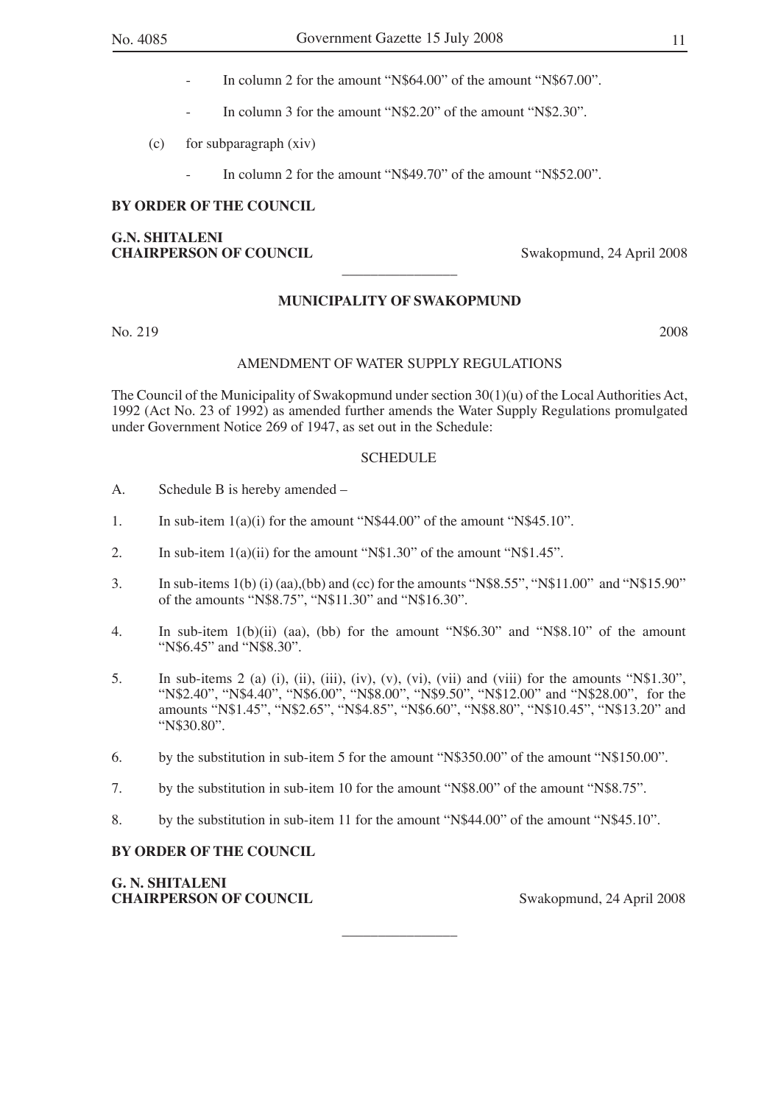- In column 2 for the amount "N\$64.00" of the amount "N\$67.00".
- In column 3 for the amount "N\$2.20" of the amount "N\$2.30".
- (c) for subparagraph (xiv)
	- In column 2 for the amount "N\$49.70" of the amount "N\$52.00".

#### **BY ORDER OF THE COUNCIL**

#### **G.N. SHITALENI CHAIRPERSON OF COUNCIL** Swakopmund, 24 April 2008

#### **MUNICIPALITY OF SWAKOPMUND**

 $\overline{\phantom{a}}$  , where  $\overline{\phantom{a}}$ 

No. 219 2008

#### AMENDMENT OF WATER SUPPLY REGULATIONS

The Council of the Municipality of Swakopmund under section 30(1)(u) of the Local Authorities Act, 1992 (Act No. 23 of 1992) as amended further amends the Water Supply Regulations promulgated under Government Notice 269 of 1947, as set out in the Schedule:

#### **SCHEDULE**

- A. Schedule B is hereby amended –
- 1. In sub-item  $1(a)(i)$  for the amount "N\$44.00" of the amount "N\$45.10".
- 2. In sub-item  $1(a)(ii)$  for the amount "N\$1.30" of the amount "N\$1.45".
- 3. In sub-items  $1(b)$  (i) (aa),(bb) and (cc) for the amounts "N\$8.55", "N\$11.00" and "N\$15.90" of the amounts "N\$8.75", "N\$11.30" and "N\$16.30".
- 4. In sub-item 1(b)(ii) (aa), (bb) for the amount "N\$6.30" and "N\$8.10" of the amount "N\$6.45" and "N\$8.30".
- 5. In sub-items 2 (a) (i), (ii), (iii), (iv), (v), (vi), (vii) and (viii) for the amounts "N\$1.30", "N\$2.40", "N\$4.40", "N\$6.00", "N\$8.00", "N\$9.50", "N\$12.00" and "N\$28.00", for the amounts "N\$1.45", "N\$2.65", "N\$4.85", "N\$6.60", "N\$8.80", "N\$10.45", "N\$13.20" and "N\$30.80".
- 6. by the substitution in sub-item 5 for the amount "N\$350.00" of the amount "N\$150.00".
- 7. by the substitution in sub-item 10 for the amount "N\$8.00" of the amount "N\$8.75".
- 8. by the substitution in sub-item 11 for the amount "N\$44.00" of the amount "N\$45.10".

 $\overline{\phantom{a}}$  , where  $\overline{\phantom{a}}$ 

#### **BY ORDER OF THE COUNCIL**

**G. N. SHITALENI CHAIRPERSON OF COUNCIL** Swakopmund, 24 April 2008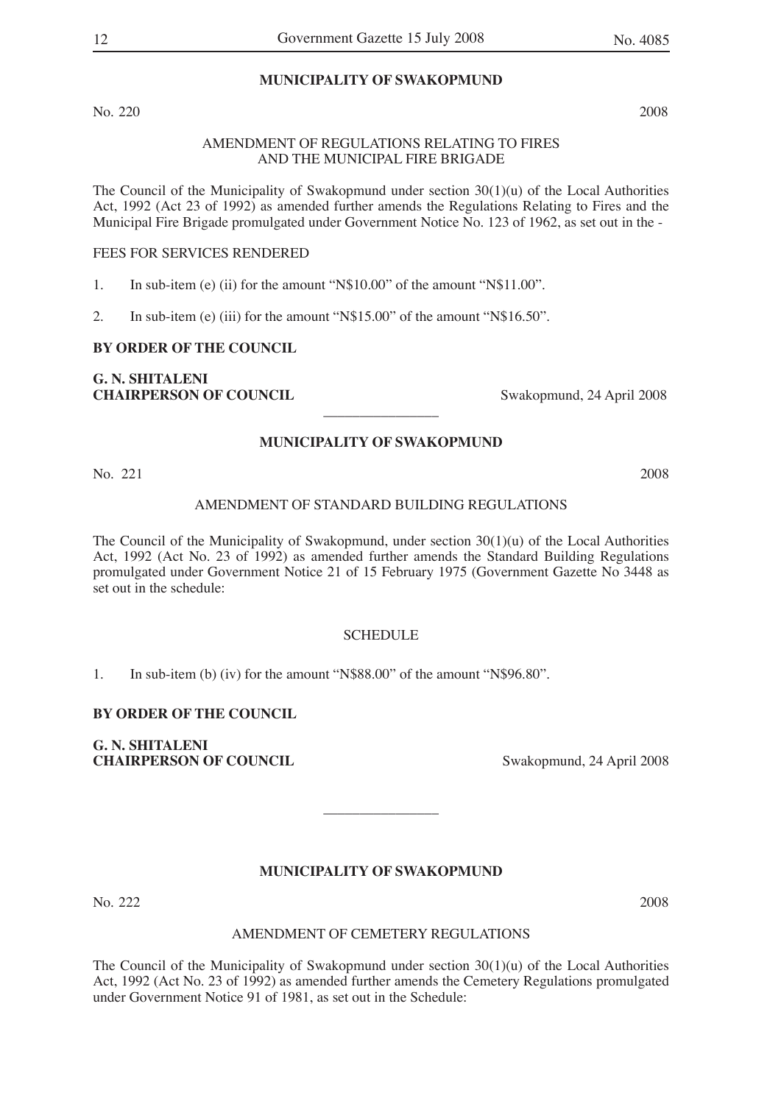#### **MUNICIPALITY OF SWAKOPMUND**

No. 220 2008

#### AMENDMENT OF REGULATIONS RELATING TO FIRES AND THE MUNICIPAL FIRE BRIGADE

The Council of the Municipality of Swakopmund under section  $30(1)(u)$  of the Local Authorities Act, 1992 (Act 23 of 1992) as amended further amends the Regulations Relating to Fires and the Municipal Fire Brigade promulgated under Government Notice No. 123 of 1962, as set out in the -

#### FEES FOR SERVICES RENDERED

1. In sub-item (e) (ii) for the amount "N\$10.00" of the amount "N\$11.00".

2. In sub-item (e) (iii) for the amount "N\$15.00" of the amount "N\$16.50".

#### **BY ORDER OF THE COUNCIL**

#### **G. N. SHITALENI CHAIRPERSON OF COUNCIL** Swakopmund, 24 April 2008

#### **MUNICIPALITY OF SWAKOPMUND**

 $\overline{\phantom{a}}$  , where  $\overline{\phantom{a}}$ 

No. 221 2008

#### AMENDMENT OF STANDARD BUILDING REGULATIONS

The Council of the Municipality of Swakopmund, under section  $30(1)(u)$  of the Local Authorities Act, 1992 (Act No. 23 of 1992) as amended further amends the Standard Building Regulations promulgated under Government Notice 21 of 15 February 1975 (Government Gazette No 3448 as set out in the schedule:

#### SCHEDULE

1. In sub-item (b) (iv) for the amount "N\$88.00" of the amount "N\$96.80".

#### **BY ORDER OF THE COUNCIL**

**G. N. SHITALENI CHAIRPERSON OF COUNCIL** Swakopmund, 24 April 2008

#### **MUNICIPALITY OF SWAKOPMUND**

 $\overline{\phantom{a}}$  , where  $\overline{\phantom{a}}$ 

No. 222 2008

#### AMENDMENT OF CEMETERY REGULATIONS

The Council of the Municipality of Swakopmund under section  $30(1)(u)$  of the Local Authorities Act, 1992 (Act No. 23 of 1992) as amended further amends the Cemetery Regulations promulgated under Government Notice 91 of 1981, as set out in the Schedule: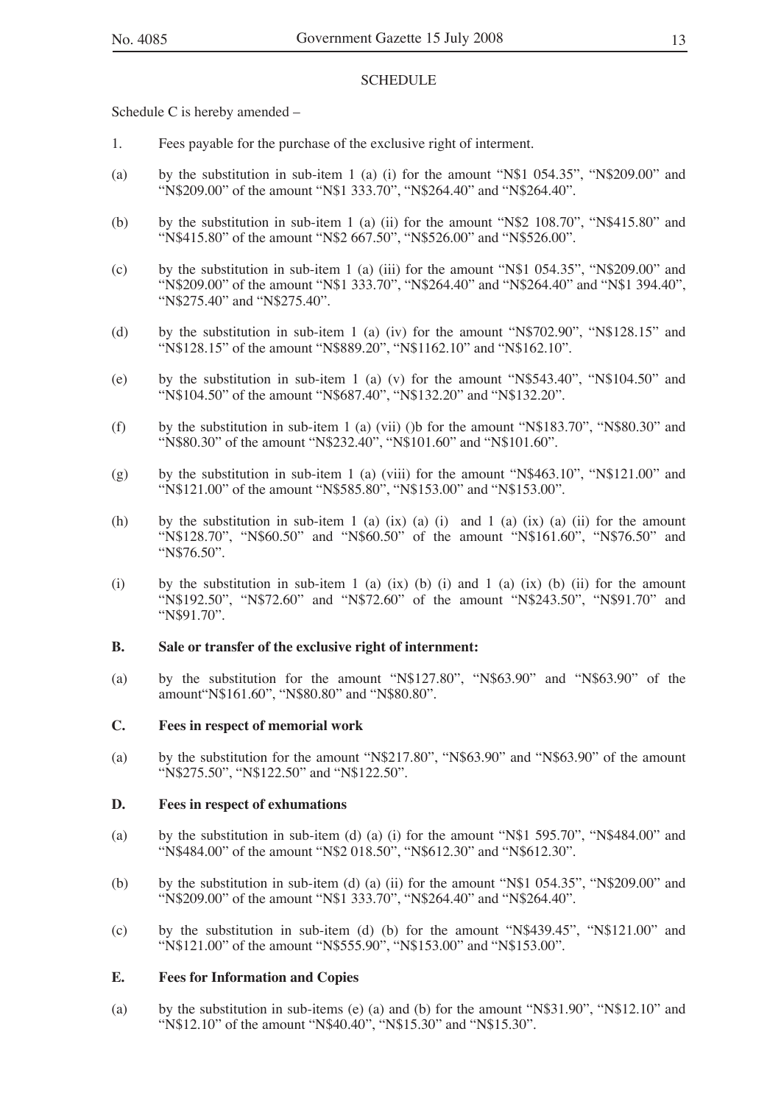#### **SCHEDULE**

Schedule C is hereby amended –

- 1. Fees payable for the purchase of the exclusive right of interment.
- (a) by the substitution in sub-item 1 (a) (i) for the amount "N\$1 054.35", "N\$209.00" and "N\$209.00" of the amount "N\$1 333.70", "N\$264.40" and "N\$264.40".
- (b) by the substitution in sub-item 1 (a) (ii) for the amount "N\$2 108.70", "N\$415.80" and "N\$415.80" of the amount "N\$2 667.50", "N\$526.00" and "N\$526.00".
- (c) by the substitution in sub-item 1 (a) (iii) for the amount "N\$1 054.35", "N\$209.00" and "N\$209.00" of the amount "N\$1 333.70", "N\$264.40" and "N\$264.40" and "N\$1 394.40", "N\$275.40" and "N\$275.40".
- (d) by the substitution in sub-item 1 (a) (iv) for the amount "N\$702.90", "N\$128.15" and "N\$128.15" of the amount "N\$889.20", "N\$1162.10" and "N\$162.10".
- (e) by the substitution in sub-item 1 (a) (v) for the amount "N\$543.40", "N\$104.50" and "N\$104.50" of the amount "N\$687.40", "N\$132.20" and "N\$132.20".
- (f) by the substitution in sub-item 1 (a) (vii) ()b for the amount " $N$183.70$ ", " $N$80.30$ " and "N\$80.30" of the amount "N\$232.40", "N\$101.60" and "N\$101.60".
- (g) by the substitution in sub-item 1 (a) (viii) for the amount "N\$463.10", "N\$121.00" and "N\$121.00" of the amount "N\$585.80", "N\$153.00" and "N\$153.00".
- (h) by the substitution in sub-item 1 (a) (ix) (a) (i) and 1 (a) (ix) (a) (ii) for the amount "N\$128.70", "N\$60.50" and "N\$60.50" of the amount "N\$161.60", "N\$76.50" and "N\$76.50".
- (i) by the substitution in sub-item 1 (a) (ix) (b) (i) and 1 (a) (ix) (b) (ii) for the amount "N\$192.50", "N\$72.60" and "N\$72.60" of the amount "N\$243.50", "N\$91.70" and "N\$91.70".

#### **B. Sale or transfer of the exclusive right of internment:**

(a) by the substitution for the amount "N\$127.80", "N\$63.90" and "N\$63.90" of the amount"N\$161.60", "N\$80.80" and "N\$80.80".

#### **C. Fees in respect of memorial work**

(a) by the substitution for the amount "N\$217.80", "N\$63.90" and "N\$63.90" of the amount "N\$275.50", "N\$122.50" and "N\$122.50".

#### **D. Fees in respect of exhumations**

- (a) by the substitution in sub-item (d) (a) (i) for the amount "N\$1 595.70", "N\$484.00" and "N\$484.00" of the amount "N\$2 018.50", "N\$612.30" and "N\$612.30".
- (b) by the substitution in sub-item (d) (a) (ii) for the amount "N\$1 054.35", "N\$209.00" and "N\$209.00" of the amount "N\$1 333.70", "N\$264.40" and "N\$264.40".
- (c) by the substitution in sub-item (d) (b) for the amount "N\$439.45", "N\$121.00" and "N\$121.00" of the amount "N\$555.90", "N\$153.00" and "N\$153.00".

#### **E. Fees for Information and Copies**

(a) by the substitution in sub-items (e) (a) and (b) for the amount "N\$31.90", "N\$12.10" and "N\$12.10" of the amount "N\$40.40", "N\$15.30" and "N\$15.30".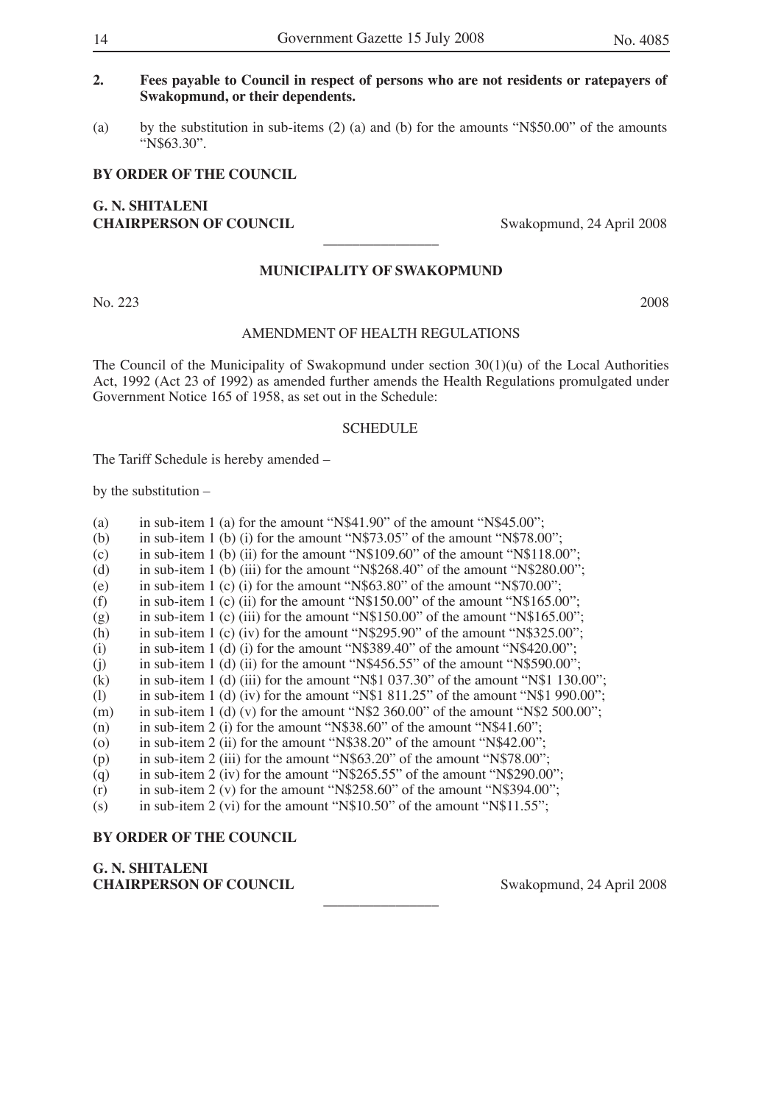#### **2. Fees payable to Council in respect of persons who are not residents or ratepayers of Swakopmund, or their dependents.**

(a) by the substitution in sub-items  $(2)$  (a) and (b) for the amounts "N\$50.00" of the amounts "N\$63.30".

#### **BY ORDER OF THE COUNCIL**

#### **G. N. SHITALENI CHAIRPERSON OF COUNCIL** Swakopmund, 24 April 2008

#### **MUNICIPALITY OF SWAKOPMUND**

 $\overline{\phantom{a}}$  , where  $\overline{\phantom{a}}$ 

No. 223 2008

#### AMENDMENT OF HEALTH REGULATIONS

The Council of the Municipality of Swakopmund under section 30(1)(u) of the Local Authorities Act, 1992 (Act 23 of 1992) as amended further amends the Health Regulations promulgated under Government Notice 165 of 1958, as set out in the Schedule:

#### **SCHEDULE**

The Tariff Schedule is hereby amended –

by the substitution –

- (a) in sub-item 1 (a) for the amount "N\$41.90" of the amount "N\$45.00";<br>(b) in sub-item 1 (b) (i) for the amount "N\$73.05" of the amount "N\$78.0
- (b) in sub-item 1 (b) (i) for the amount "N\$73.05" of the amount "N\$78.00";<br>(c) in sub-item 1 (b) (ii) for the amount "N\$109.60" of the amount "N\$118.0
- (c) in sub-item 1 (b) (ii) for the amount "N\$109.60" of the amount "N\$118.00";<br>(d) in sub-item 1 (b) (iii) for the amount "N\$268.40" of the amount "N\$280.00"
- (d) in sub-item 1 (b) (iii) for the amount "N\$268.40" of the amount "N\$280.00";<br>(e) in sub-item 1 (c) (i) for the amount "N\$63.80" of the amount "N\$70.00":
- (e) in sub-item 1 (c) (i) for the amount "N\$63.80" of the amount "N\$70.00";<br>(f) in sub-item 1 (c) (ii) for the amount "N\$150.00" of the amount "N\$165.0
- in sub-item 1 (c) (ii) for the amount "N\$150.00" of the amount "N\$165.00";
- $(g)$  in sub-item 1 (c) (iii) for the amount "N\$150.00" of the amount "N\$165.00";
- (h) in sub-item 1 (c) (iv) for the amount "N\$295.90" of the amount "N\$325.00";
- (i) in sub-item 1 (d) (i) for the amount "N\$389.40" of the amount "N\$420.00";
- (j) in sub-item 1 (d) (ii) for the amount "N\$456.55" of the amount "N\$590.00";<br>(k) in sub-item 1 (d) (iii) for the amount "N\$1 037.30" of the amount "N\$1 130.
- (k) in sub-item 1 (d) (iii) for the amount "N\$1 037.30" of the amount "N\$1 130.00";<br>(1) in sub-item 1 (d) (iv) for the amount "N\$1 811.25" of the amount "N\$1 990.00";
- in sub-item 1 (d) (iv) for the amount "N\$1 811.25" of the amount "N\$1 990.00";

 $\overline{\phantom{a}}$  , where  $\overline{\phantom{a}}$ 

- (m) in sub-item 1 (d) (v) for the amount "N\$2 360.00" of the amount "N\$2 500.00";
- (n) in sub-item 2 (i) for the amount "N\$38.60" of the amount "N\$41.60";
- (o) in sub-item 2 (ii) for the amount "N\$38.20" of the amount "N\$42.00";
- (p) in sub-item 2 (iii) for the amount "N\$63.20" of the amount "N\$78.00";
- (q) in sub-item 2 (iv) for the amount "N\$265.55" of the amount "N\$290.00";
- $(r)$  in sub-item 2 (v) for the amount "N\$258.60" of the amount "N\$394.00";
- (s) in sub-item 2 (vi) for the amount "N\$10.50" of the amount "N\$11.55";

#### **BY ORDER OF THE COUNCIL**

**G. N. SHITALENI CHAIRPERSON OF COUNCIL** Swakopmund, 24 April 2008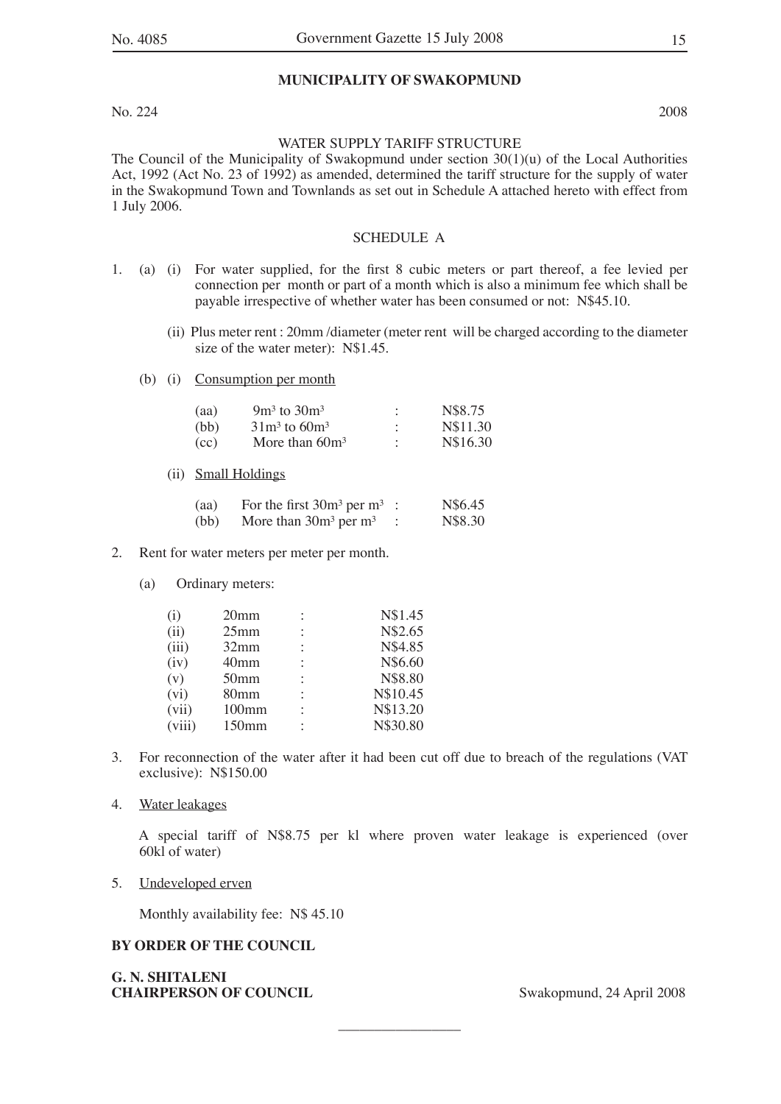#### **MUNICIPALITY OF SWAKOPMUND**

No. 224 2008

#### WATER SUPPLY TARIFF STRUCTURE

The Council of the Municipality of Swakopmund under section 30(1)(u) of the Local Authorities Act, 1992 (Act No. 23 of 1992) as amended, determined the tariff structure for the supply of water in the Swakopmund Town and Townlands as set out in Schedule A attached hereto with effect from 1 July 2006.

#### SCHEDULE A

- 1. (a) (i) For water supplied, for the first 8 cubic meters or part thereof, a fee levied per connection per month or part of a month which is also a minimum fee which shall be payable irrespective of whether water has been consumed or not: N\$45.10.
	- (ii) Plus meter rent : 20mm /diameter (meter rent will be charged according to the diameter size of the water meter): N\$1.45.
	- (b) (i) Consumption per month

| (aa) | 9 $\rm m^3$ to 30 $\rm m^3$ | N\$8.75  |
|------|-----------------------------|----------|
| (bb) | $31m^3$ to 60m <sup>3</sup> | N\$11.30 |
| (cc) | More than $60m^3$           | N\$16.30 |

(ii) Small Holdings

| (aa) | For the first $30m^3$ per $m^3$ : | N\$6.45 |
|------|-----------------------------------|---------|
| (bb) | More than $30m^3$ per $m^3$       | N\$8.30 |

- 2. Rent for water meters per meter per month.
	- (a) Ordinary meters:

| (i)    | 20 <sub>mm</sub>  |                      | N\$1.45  |
|--------|-------------------|----------------------|----------|
| (ii)   | 25 <sub>mm</sub>  | $\ddot{\phantom{a}}$ | N\$2.65  |
| (iii)  | 32mm              | $\ddot{\phantom{a}}$ | N\$4.85  |
| (iv)   | 40 <sub>mm</sub>  | $\ddot{\phantom{a}}$ | N\$6.60  |
| (v)    | 50 <sub>mm</sub>  | $\ddot{\phantom{a}}$ | N\$8.80  |
| (vi)   | 80 <sub>mm</sub>  | $\ddot{\phantom{a}}$ | N\$10.45 |
| (vii)  | $100$ mm          | $\ddot{\phantom{a}}$ | N\$13.20 |
| (viii) | 150 <sub>mm</sub> | $\ddot{\phantom{a}}$ | N\$30.80 |
|        |                   |                      |          |

- 3. For reconnection of the water after it had been cut off due to breach of the regulations (VAT exclusive): N\$150.00
- 4. Water leakages

A special tariff of N\$8.75 per kl where proven water leakage is experienced (over 60kl of water)

 $\overline{\phantom{a}}$  , where  $\overline{\phantom{a}}$ 

5. Undeveloped erven

Monthly availability fee: N\$ 45.10

#### **BY ORDER OF THE COUNCIL**

#### **G. N. SHITALENI CHAIRPERSON OF COUNCIL** Swakopmund, 24 April 2008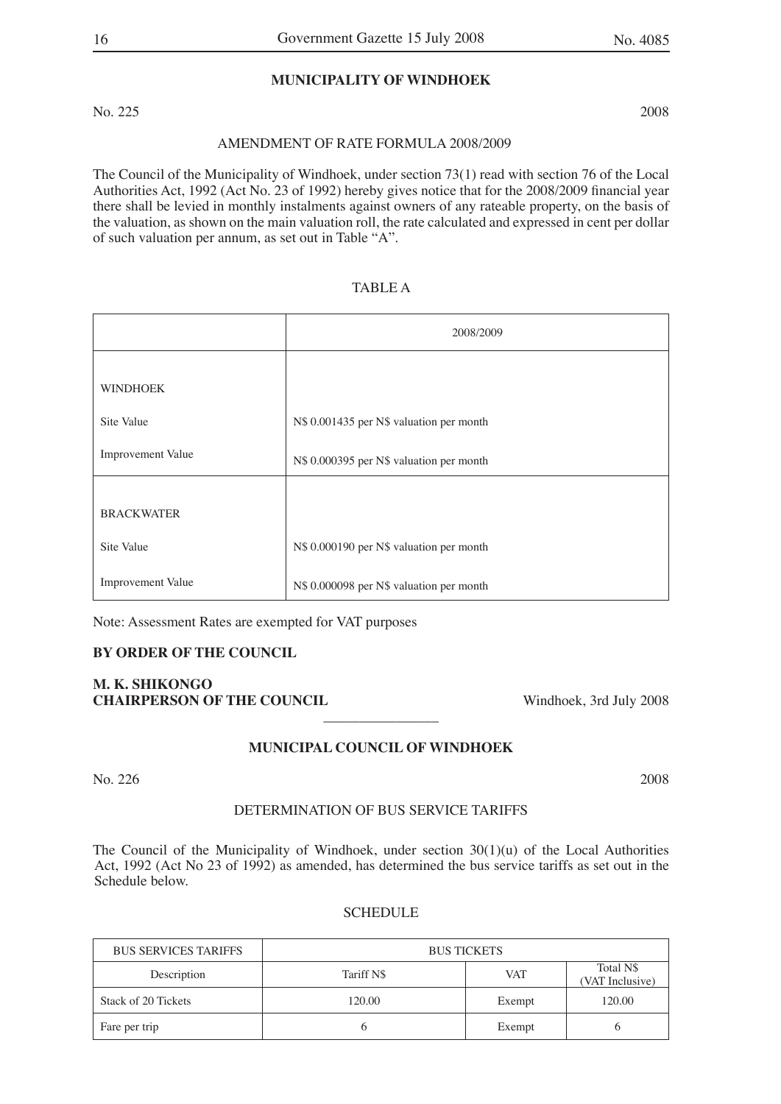#### **MUNICIPALITY OF WINDHOEK**

No. 225 2008

#### AMENDMENT OF RATE FORMULA 2008/2009

The Council of the Municipality of Windhoek, under section 73(1) read with section 76 of the Local Authorities Act, 1992 (Act No. 23 of 1992) hereby gives notice that for the 2008/2009 financial year there shall be levied in monthly instalments against owners of any rateable property, on the basis of the valuation, as shown on the main valuation roll, the rate calculated and expressed in cent per dollar of such valuation per annum, as set out in Table "A".

|                          | 2008/2009                                |  |  |
|--------------------------|------------------------------------------|--|--|
|                          |                                          |  |  |
| <b>WINDHOEK</b>          |                                          |  |  |
| Site Value               | N\$ 0.001435 per N\$ valuation per month |  |  |
| Improvement Value        | N\$ 0.000395 per N\$ valuation per month |  |  |
|                          |                                          |  |  |
| <b>BRACKWATER</b>        |                                          |  |  |
| Site Value               | N\$ 0.000190 per N\$ valuation per month |  |  |
| <b>Improvement Value</b> | N\$ 0.000098 per N\$ valuation per month |  |  |

Note: Assessment Rates are exempted for VAT purposes

#### **BY ORDER OF THE COUNCIL**

#### **M. K. SHIKONGO CHAIRPERSON OF THE COUNCIL** Windhoek, 3rd July 2008

#### **MUNICIPAL COUNCIL OF WINDHOEK**

 $\overline{\phantom{a}}$  , where  $\overline{\phantom{a}}$ 

No. 226 2008

#### DETERMINATION OF BUS SERVICE TARIFFS

The Council of the Municipality of Windhoek, under section  $30(1)(u)$  of the Local Authorities Act, 1992 (Act No 23 of 1992) as amended, has determined the bus service tariffs as set out in the Schedule below.

#### **SCHEDULE**

| <b>BUS SERVICES TARIFFS</b> | <b>BUS TICKETS</b> |            |                              |  |
|-----------------------------|--------------------|------------|------------------------------|--|
| Description                 | Tariff N\$         | <b>VAT</b> | Total N\$<br>(VAT Inclusive) |  |
| Stack of 20 Tickets         | 120.00             | Exempt     | 120.00                       |  |
| Fare per trip               |                    | Exempt     |                              |  |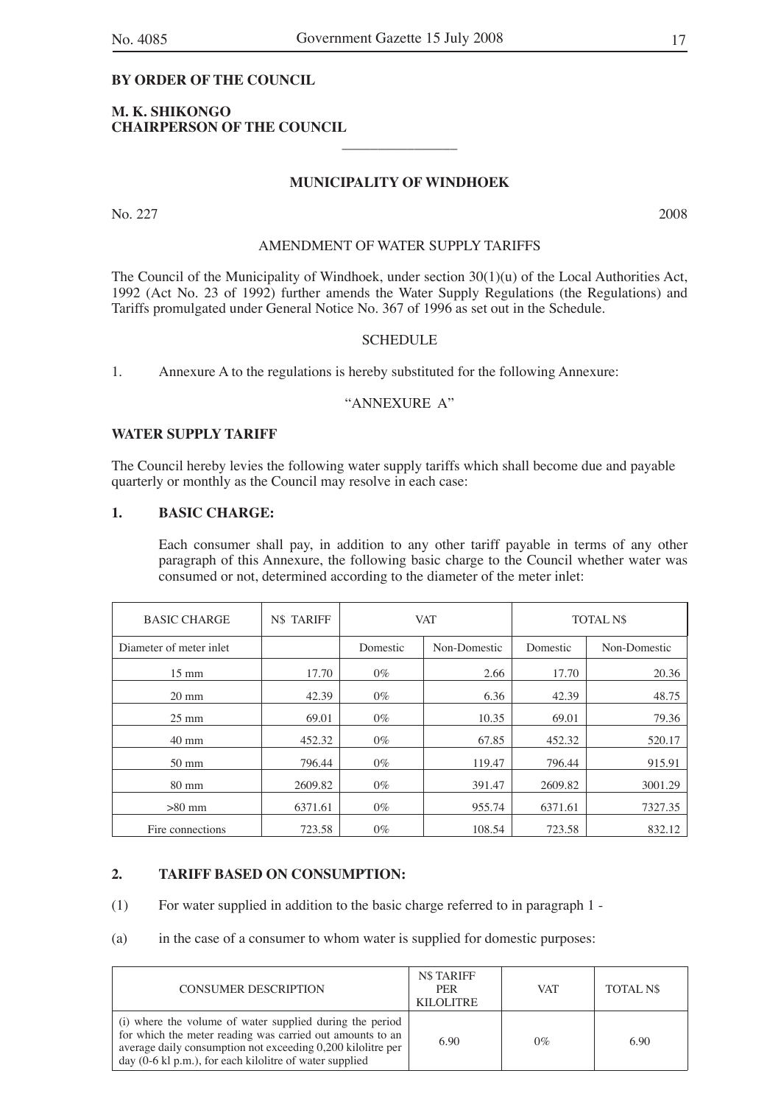#### **BY ORDER OF THE COUNCIL**

#### **M. K. SHIKONGO CHAIRPERSON OF THE COUNCIL**

#### **MUNICIPALITY OF WINDHOEK**

 $\overline{\phantom{a}}$  , where  $\overline{\phantom{a}}$ 

No. 227 2008

#### AMENDMENT OF WATER SUPPLY TARIFFS

The Council of the Municipality of Windhoek, under section 30(1)(u) of the Local Authorities Act, 1992 (Act No. 23 of 1992) further amends the Water Supply Regulations (the Regulations) and Tariffs promulgated under General Notice No. 367 of 1996 as set out in the Schedule.

#### SCHEDULE

1. Annexure A to the regulations is hereby substituted for the following Annexure:

#### "ANNEXURE A"

#### **WATER SUPPLY TARIFF**

The Council hereby levies the following water supply tariffs which shall become due and payable quarterly or monthly as the Council may resolve in each case:

#### **1. BASIC CHARGE:**

Each consumer shall pay, in addition to any other tariff payable in terms of any other paragraph of this Annexure, the following basic charge to the Council whether water was consumed or not, determined according to the diameter of the meter inlet:

| <b>BASIC CHARGE</b>     | <b>N\$ TARIFF</b><br><b>TOTAL N\$</b><br><b>VAT</b> |          |              |          |              |
|-------------------------|-----------------------------------------------------|----------|--------------|----------|--------------|
| Diameter of meter inlet |                                                     | Domestic | Non-Domestic | Domestic | Non-Domestic |
| $15 \text{ mm}$         | 17.70                                               | $0\%$    | 2.66         | 17.70    | 20.36        |
| $20 \text{ mm}$         | 42.39                                               | $0\%$    | 6.36         | 42.39    | 48.75        |
| $25 \text{ mm}$         | 69.01                                               | $0\%$    | 10.35        | 69.01    | 79.36        |
| $40 \text{ mm}$         | 452.32                                              | $0\%$    | 67.85        | 452.32   | 520.17       |
| 50 mm                   | 796.44                                              | $0\%$    | 119.47       | 796.44   | 915.91       |
| $80 \text{ mm}$         | 2609.82                                             | $0\%$    | 391.47       | 2609.82  | 3001.29      |
| $>80$ mm                | 6371.61                                             | $0\%$    | 955.74       | 6371.61  | 7327.35      |
| Fire connections        | 723.58                                              | $0\%$    | 108.54       | 723.58   | 832.12       |

#### **2. TARIFF BASED ON CONSUMPTION:**

(1) For water supplied in addition to the basic charge referred to in paragraph 1 -

#### (a) in the case of a consumer to whom water is supplied for domestic purposes:

| <b>CONSUMER DESCRIPTION</b>                                                                                                                                                                                                                     | <b>N\$TARIFF</b><br><b>PER</b><br><b>KILOLITRE</b> | <b>VAT</b> | <b>TOTAL NS</b> |
|-------------------------------------------------------------------------------------------------------------------------------------------------------------------------------------------------------------------------------------------------|----------------------------------------------------|------------|-----------------|
| (i) where the volume of water supplied during the period<br>for which the meter reading was carried out amounts to an<br>average daily consumption not exceeding 0,200 kilolitre per<br>day (0-6 kl p.m.), for each kilolitre of water supplied | 6.90                                               | $0\%$      | 6.90            |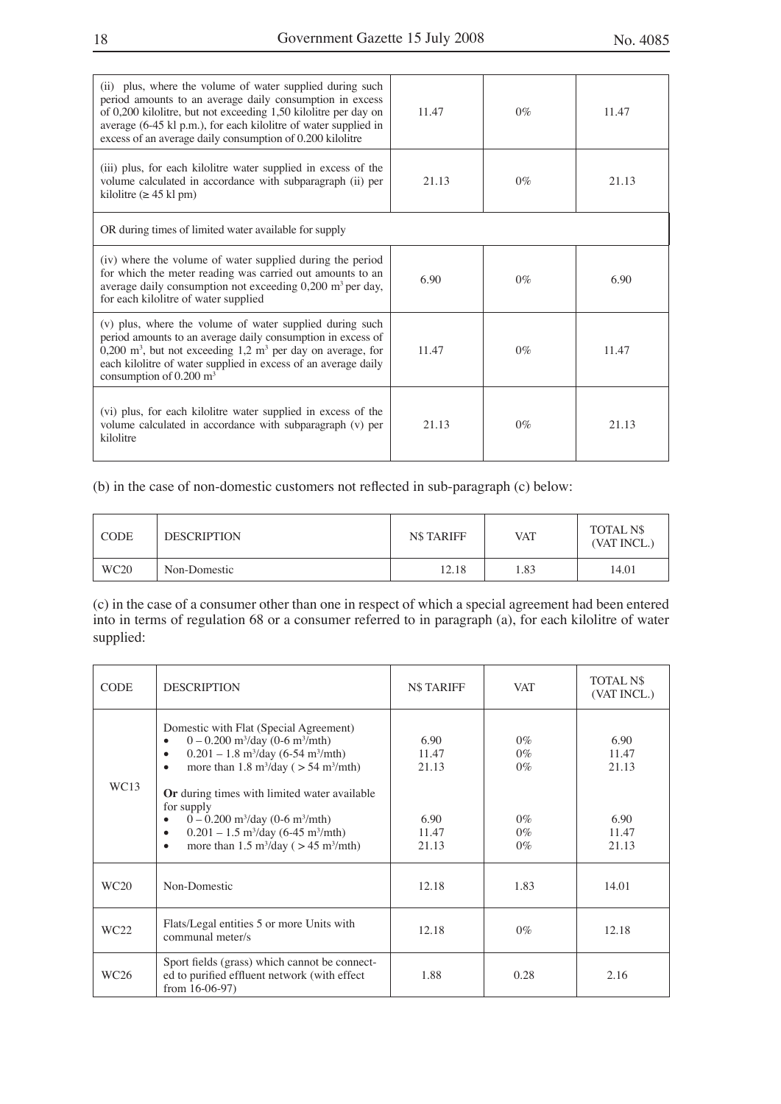| (ii) plus, where the volume of water supplied during such<br>period amounts to an average daily consumption in excess<br>of 0,200 kilolitre, but not exceeding 1,50 kilolitre per day on<br>average (6-45 kl p.m.), for each kilolitre of water supplied in<br>excess of an average daily consumption of 0.200 kilolitre | 11.47 | $0\%$ | 11.47 |  |  |
|--------------------------------------------------------------------------------------------------------------------------------------------------------------------------------------------------------------------------------------------------------------------------------------------------------------------------|-------|-------|-------|--|--|
| (iii) plus, for each kilolitre water supplied in excess of the<br>volume calculated in accordance with subparagraph (ii) per<br>kilolitre ( $\geq$ 45 kl pm)                                                                                                                                                             | 21.13 | $0\%$ | 21.13 |  |  |
| OR during times of limited water available for supply                                                                                                                                                                                                                                                                    |       |       |       |  |  |
| (iv) where the volume of water supplied during the period<br>for which the meter reading was carried out amounts to an<br>average daily consumption not exceeding 0,200 m <sup>3</sup> per day,<br>for each kilolitre of water supplied                                                                                  | 6.90  | $0\%$ | 6.90  |  |  |
| (v) plus, where the volume of water supplied during such<br>period amounts to an average daily consumption in excess of<br>$0,200$ m <sup>3</sup> , but not exceeding 1,2 m <sup>3</sup> per day on average, for<br>each kilolitre of water supplied in excess of an average daily<br>consumption of $0.200 \text{ m}^3$ | 11.47 | $0\%$ | 11.47 |  |  |
| (vi) plus, for each kilolitre water supplied in excess of the<br>volume calculated in accordance with subparagraph (v) per<br>kilolitre                                                                                                                                                                                  | 21.13 | $0\%$ | 21.13 |  |  |

(b) in the case of non-domestic customers not reflected in sub-paragraph (c) below:

| <b>CODE</b> | <b>DESCRIPTION</b> | <b>N\$TARIFF</b> | <b>VAT</b> | TOTAL N\$<br>(VAT INCL.) |
|-------------|--------------------|------------------|------------|--------------------------|
| WC20        | Non-Domestic       | 12.18            | 1.83       | 14.01                    |

(c) in the case of a consumer other than one in respect of which a special agreement had been entered into in terms of regulation 68 or a consumer referred to in paragraph (a), for each kilolitre of water supplied:

| <b>CODE</b>      | <b>DESCRIPTION</b>                                                                                                                                                                                                                                                                                                                                                                                                                                                                                                                                                                 | <b>N\$TARIFF</b>                                 | VAT                                                | <b>TOTAL NS</b><br>(VAT INCL.)                   |
|------------------|------------------------------------------------------------------------------------------------------------------------------------------------------------------------------------------------------------------------------------------------------------------------------------------------------------------------------------------------------------------------------------------------------------------------------------------------------------------------------------------------------------------------------------------------------------------------------------|--------------------------------------------------|----------------------------------------------------|--------------------------------------------------|
| WC <sub>13</sub> | Domestic with Flat (Special Agreement)<br>$0 - 0.200$ m <sup>3</sup> /day (0-6 m <sup>3</sup> /mth)<br>$\bullet$<br>$0.201 - 1.8$ m <sup>3</sup> /day (6-54 m <sup>3</sup> /mth)<br>$\bullet$<br>more than 1.8 m <sup>3</sup> /day ( $>$ 54 m <sup>3</sup> /mth)<br>$\bullet$<br>Or during times with limited water available<br>for supply<br>$0 - 0.200$ m <sup>3</sup> /day (0-6 m <sup>3</sup> /mth)<br>$\bullet$<br>$0.201 - 1.5$ m <sup>3</sup> /day (6-45 m <sup>3</sup> /mth)<br>$\bullet$<br>more than 1.5 m <sup>3</sup> /day ( $> 45$ m <sup>3</sup> /mth)<br>$\bullet$ | 6.90<br>11.47<br>21.13<br>6.90<br>11.47<br>21.13 | $0\%$<br>$0\%$<br>$0\%$<br>$0\%$<br>$0\%$<br>$0\%$ | 6.90<br>11.47<br>21.13<br>6.90<br>11.47<br>21.13 |
| WC20             | Non-Domestic                                                                                                                                                                                                                                                                                                                                                                                                                                                                                                                                                                       | 12.18                                            | 1.83                                               | 14.01                                            |
| WC22             | Flats/Legal entities 5 or more Units with<br>communal meter/s                                                                                                                                                                                                                                                                                                                                                                                                                                                                                                                      | 12.18                                            | $0\%$                                              | 12.18                                            |
| WC26             | Sport fields (grass) which cannot be connect-<br>ed to purified effluent network (with effect<br>from $16-06-97$ )                                                                                                                                                                                                                                                                                                                                                                                                                                                                 | 1.88                                             | 0.28                                               | 2.16                                             |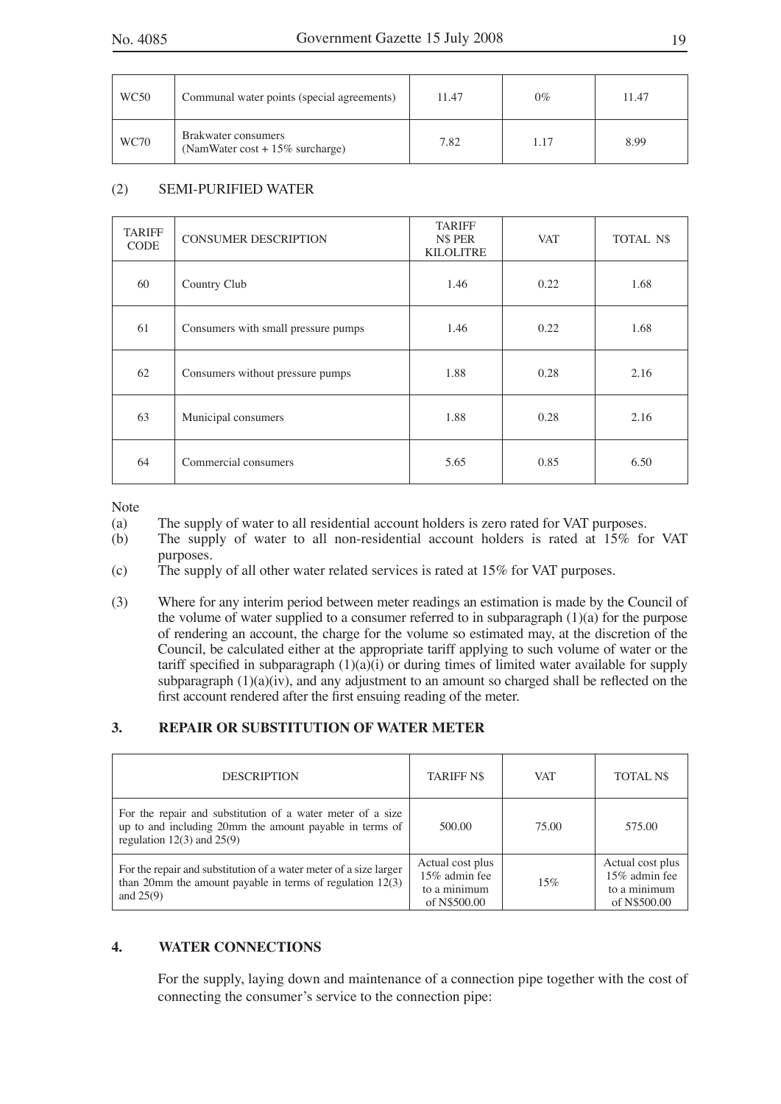| WC <sub>50</sub> | Communal water points (special agreements)                | 11.47 | $0\%$ | 11.47 |
|------------------|-----------------------------------------------------------|-------|-------|-------|
| WC70             | Brakwater consumers<br>(NamWater cost + $15\%$ surcharge) | 7.82  | 1.17  | 8.99  |

#### (2) SEMI-PURIFIED WATER

| <b>TARIFF</b><br><b>CODE</b> | <b>CONSUMER DESCRIPTION</b>         | <b>TARIFF</b><br>N\$ PER<br><b>KILOLITRE</b> | <b>VAT</b> | TOTAL N\$ |
|------------------------------|-------------------------------------|----------------------------------------------|------------|-----------|
| 60                           | Country Club                        | 1.46                                         | 0.22       | 1.68      |
| 61                           | Consumers with small pressure pumps | 1.46                                         | 0.22       | 1.68      |
| 62                           | Consumers without pressure pumps    | 1.88                                         | 0.28       | 2.16      |
| 63                           | Municipal consumers                 | 1.88                                         | 0.28       | 2.16      |
| 64                           | Commercial consumers                | 5.65                                         | 0.85       | 6.50      |

Note  $(a)$ 

- (a) The supply of water to all residential account holders is zero rated for VAT purposes.<br>
(b) The supply of water to all non-residential account holders is rated at  $15\%$  fo
- The supply of water to all non-residential account holders is rated at  $15\%$  for VAT purposes.
- (c) The supply of all other water related services is rated at 15% for VAT purposes.
- (3) Where for any interim period between meter readings an estimation is made by the Council of the volume of water supplied to a consumer referred to in subparagraph  $(1)(a)$  for the purpose of rendering an account, the charge for the volume so estimated may, at the discretion of the Council, be calculated either at the appropriate tariff applying to such volume of water or the tariff specified in subparagraph  $(1)(a)(i)$  or during times of limited water available for supply subparagraph  $(1)(a)(iv)$ , and any adjustment to an amount so charged shall be reflected on the first account rendered after the first ensuing reading of the meter.

#### **3. REPAIR OR SUBSTITUTION OF WATER METER**

| <b>DESCRIPTION</b>                                                                                                                                      | <b>TARIFF N\$</b>                                                 | <b>VAT</b> | <b>TOTAL N\$</b>                                                  |
|---------------------------------------------------------------------------------------------------------------------------------------------------------|-------------------------------------------------------------------|------------|-------------------------------------------------------------------|
| For the repair and substitution of a water meter of a size<br>up to and including 20mm the amount payable in terms of<br>regulation $12(3)$ and $25(9)$ | 500.00                                                            | 75.00      | 575.00                                                            |
| For the repair and substitution of a water meter of a size larger<br>than 20mm the amount payable in terms of regulation $12(3)$<br>and $25(9)$         | Actual cost plus<br>15% admin fee<br>to a minimum<br>of N\$500.00 | 15%        | Actual cost plus<br>15% admin fee<br>to a minimum<br>of N\$500.00 |

#### **4. WATER CONNECTIONS**

For the supply, laying down and maintenance of a connection pipe together with the cost of connecting the consumer's service to the connection pipe: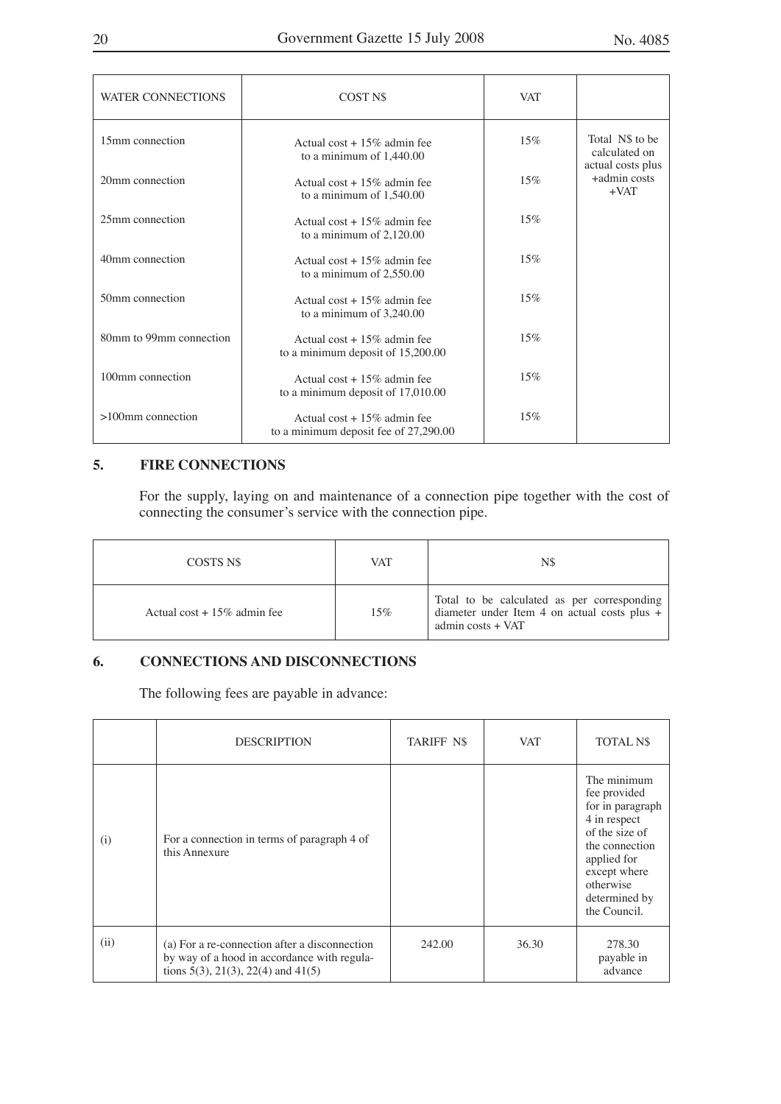| <b>WATER CONNECTIONS</b> | COST <sub>N\$</sub>                                                     | <b>VAT</b> |                                             |
|--------------------------|-------------------------------------------------------------------------|------------|---------------------------------------------|
| 15mm connection          | Actual cost $+15\%$ admin fee<br>to a minimum of 1,440.00               | 15%        | Total N\$ to be<br>calculated on            |
| 20mm connection          | Actual cost $+15\%$ admin fee<br>to a minimum of 1,540.00               | 15%        | actual costs plus<br>+admin costs<br>$+VAT$ |
| 25mm connection          | Actual cost + $15\%$ admin fee<br>to a minimum of $2,120.00$            | 15%        |                                             |
| 40mm connection          | Actual cost + $15\%$ admin fee<br>to a minimum of $2,550.00$            | 15%        |                                             |
| 50mm connection          | Actual cost $+15\%$ admin fee<br>to a minimum of $3,240.00$             | 15%        |                                             |
| 80mm to 99mm connection  | Actual cost $+15\%$ admin fee<br>to a minimum deposit of 15,200.00      | 15%        |                                             |
| 100mm connection         | Actual cost $+15\%$ admin fee<br>to a minimum deposit of $17,010.00$    | 15%        |                                             |
| $>100$ mm connection     | Actual cost + $15\%$ admin fee<br>to a minimum deposit fee of 27,290.00 | 15%        |                                             |

#### **5. FIRE CONNECTIONS**

For the supply, laying on and maintenance of a connection pipe together with the cost of connecting the consumer's service with the connection pipe.

| COSTS N\$                     | VAT | N\$                                                                                                                |
|-------------------------------|-----|--------------------------------------------------------------------------------------------------------------------|
| Actual cost $+15\%$ admin fee | 15% | Total to be calculated as per corresponding<br>diameter under Item 4 on actual costs plus $+$<br>admin costs + VAT |

#### **6. CONNECTIONS AND DISCONNECTIONS**

The following fees are payable in advance:

|      | <b>DESCRIPTION</b>                                                                                                                 | TARIFF N\$ | <b>VAT</b> | <b>TOTAL N\$</b>                                                                                                                                                                 |
|------|------------------------------------------------------------------------------------------------------------------------------------|------------|------------|----------------------------------------------------------------------------------------------------------------------------------------------------------------------------------|
| (i)  | For a connection in terms of paragraph 4 of<br>this Annexure                                                                       |            |            | The minimum<br>fee provided<br>for in paragraph<br>4 in respect<br>of the size of<br>the connection<br>applied for<br>except where<br>otherwise<br>determined by<br>the Council. |
| (ii) | (a) For a re-connection after a disconnection<br>by way of a hood in accordance with regula-<br>tions 5(3), 21(3), 22(4) and 41(5) | 242.00     | 36.30      | 278.30<br>payable in<br>advance                                                                                                                                                  |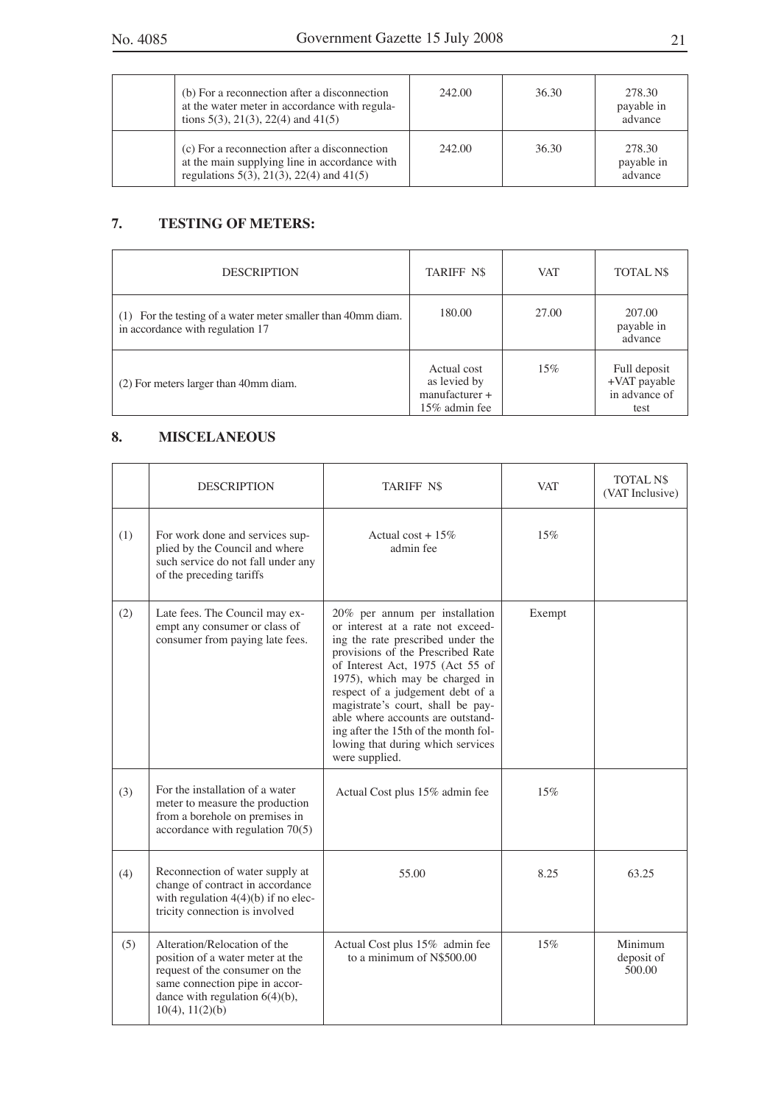| (b) For a reconnection after a disconnection<br>at the water meter in accordance with regula-<br>tions $5(3)$ , $21(3)$ , $22(4)$ and $41(5)$ | 242.00 | 36.30 | 278.30<br>payable in<br>advance |
|-----------------------------------------------------------------------------------------------------------------------------------------------|--------|-------|---------------------------------|
| (c) For a reconnection after a disconnection<br>at the main supplying line in accordance with<br>regulations 5(3), 21(3), 22(4) and 41(5)     | 242.00 | 36.30 | 278.30<br>payable in<br>advance |

#### **7. TESTING OF METERS:**

| <b>DESCRIPTION</b>                                                                           | TARIFF N\$                                                       | <b>VAT</b> | <b>TOTAL N\$</b>                                      |
|----------------------------------------------------------------------------------------------|------------------------------------------------------------------|------------|-------------------------------------------------------|
| For the testing of a water meter smaller than 40mm diam.<br>in accordance with regulation 17 | 180.00                                                           | 27.00      | 207.00<br>payable in<br>advance                       |
| (2) For meters larger than 40mm diam.                                                        | Actual cost<br>as levied by<br>$manufacturer +$<br>15% admin fee | 15%        | Full deposit<br>+VAT payable<br>in advance of<br>test |

### **8. MISCELANEOUS**

|     | <b>DESCRIPTION</b>                                                                                                                                                                                | <b>TARIFF N\$</b>                                                                                                                                                                                                                                                                                                                                                                                                                | <b>VAT</b> | <b>TOTAL NS</b><br>(VAT Inclusive) |
|-----|---------------------------------------------------------------------------------------------------------------------------------------------------------------------------------------------------|----------------------------------------------------------------------------------------------------------------------------------------------------------------------------------------------------------------------------------------------------------------------------------------------------------------------------------------------------------------------------------------------------------------------------------|------------|------------------------------------|
| (1) | For work done and services sup-<br>plied by the Council and where<br>such service do not fall under any<br>of the preceding tariffs                                                               | Actual cost + $15\%$<br>admin fee                                                                                                                                                                                                                                                                                                                                                                                                | 15%        |                                    |
| (2) | Late fees. The Council may ex-<br>empt any consumer or class of<br>consumer from paying late fees.                                                                                                | 20% per annum per installation<br>or interest at a rate not exceed-<br>ing the rate prescribed under the<br>provisions of the Prescribed Rate<br>of Interest Act, 1975 (Act 55 of<br>1975), which may be charged in<br>respect of a judgement debt of a<br>magistrate's court, shall be pay-<br>able where accounts are outstand-<br>ing after the 15th of the month fol-<br>lowing that during which services<br>were supplied. | Exempt     |                                    |
| (3) | For the installation of a water<br>meter to measure the production<br>from a borehole on premises in<br>accordance with regulation $70(5)$                                                        | Actual Cost plus 15% admin fee                                                                                                                                                                                                                                                                                                                                                                                                   | 15%        |                                    |
| (4) | Reconnection of water supply at<br>change of contract in accordance<br>with regulation $4(4)(b)$ if no elec-<br>tricity connection is involved                                                    | 55.00                                                                                                                                                                                                                                                                                                                                                                                                                            | 8.25       | 63.25                              |
| (5) | Alteration/Relocation of the<br>position of a water meter at the<br>request of the consumer on the<br>same connection pipe in accor-<br>dance with regulation $6(4)(b)$ ,<br>$10(4)$ , $11(2)(b)$ | Actual Cost plus 15% admin fee<br>to a minimum of N\$500.00                                                                                                                                                                                                                                                                                                                                                                      | 15%        | Minimum<br>deposit of<br>500.00    |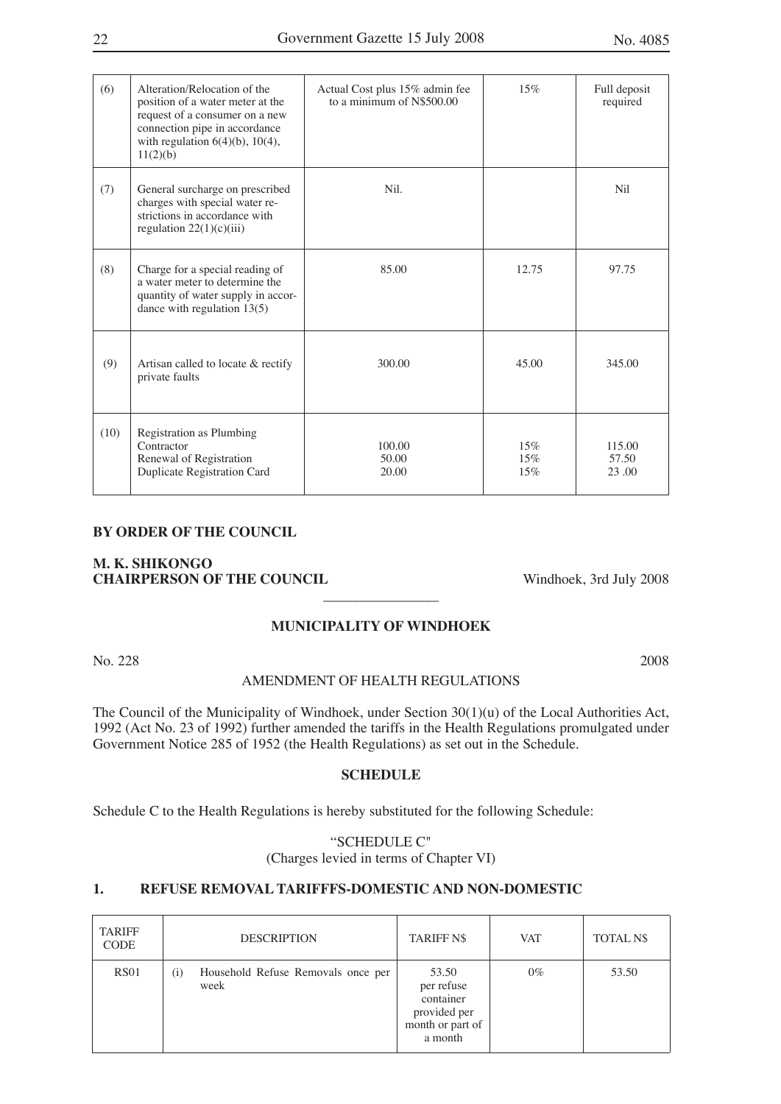| (6)  | Alteration/Relocation of the<br>position of a water meter at the<br>request of a consumer on a new<br>connection pipe in accordance<br>with regulation $6(4)(b)$ , $10(4)$ ,<br>11(2)(b) | Actual Cost plus 15% admin fee<br>to a minimum of N\$500.00 | 15%               | Full deposit<br>required |
|------|------------------------------------------------------------------------------------------------------------------------------------------------------------------------------------------|-------------------------------------------------------------|-------------------|--------------------------|
| (7)  | General surcharge on prescribed<br>charges with special water re-<br>strictions in accordance with<br>regulation $22(1)(c)(iii)$                                                         | Nil.                                                        |                   | Nil                      |
| (8)  | Charge for a special reading of<br>a water meter to determine the<br>quantity of water supply in accor-<br>dance with regulation $13(5)$                                                 | 85.00                                                       | 12.75             | 97.75                    |
| (9)  | Artisan called to locate & rectify<br>private faults                                                                                                                                     | 300.00                                                      | 45.00             | 345.00                   |
| (10) | Registration as Plumbing<br>Contractor<br>Renewal of Registration<br><b>Duplicate Registration Card</b>                                                                                  | 100.00<br>50.00<br>20.00                                    | 15%<br>15%<br>15% | 115.00<br>57.50<br>23.00 |

#### **BY ORDER OF THE COUNCIL**

#### **M. K. SHIKONGO** CHAIRPERSON OF THE COUNCIL Windhoek, 3rd July 2008

#### **MUNICIPALITY OF WINDHOEK**

 $\overline{\phantom{a}}$  , where  $\overline{\phantom{a}}$ 

No. 228 2008

#### AMENDMENT OF HEALTH REGULATIONS

The Council of the Municipality of Windhoek, under Section 30(1)(u) of the Local Authorities Act, 1992 (Act No. 23 of 1992) further amended the tariffs in the Health Regulations promulgated under Government Notice 285 of 1952 (the Health Regulations) as set out in the Schedule.

#### **SCHEDULE**

Schedule C to the Health Regulations is hereby substituted for the following Schedule:

#### "SCHEDULE C" (Charges levied in terms of Chapter VI)

#### **1. REFUSE REMOVAL TARIFFFS-DOMESTIC AND NON-DOMESTIC**

| <b>TARIFF</b><br><b>CODE</b> | <b>DESCRIPTION</b>                                     | <b>TARIFF N\$</b>                                                               | <b>VAT</b> | <b>TOTAL N\$</b> |
|------------------------------|--------------------------------------------------------|---------------------------------------------------------------------------------|------------|------------------|
| <b>RS01</b>                  | Household Refuse Removals once per<br>$\rm(i)$<br>week | 53.50<br>per refuse<br>container<br>provided per<br>month or part of<br>a month | $0\%$      | 53.50            |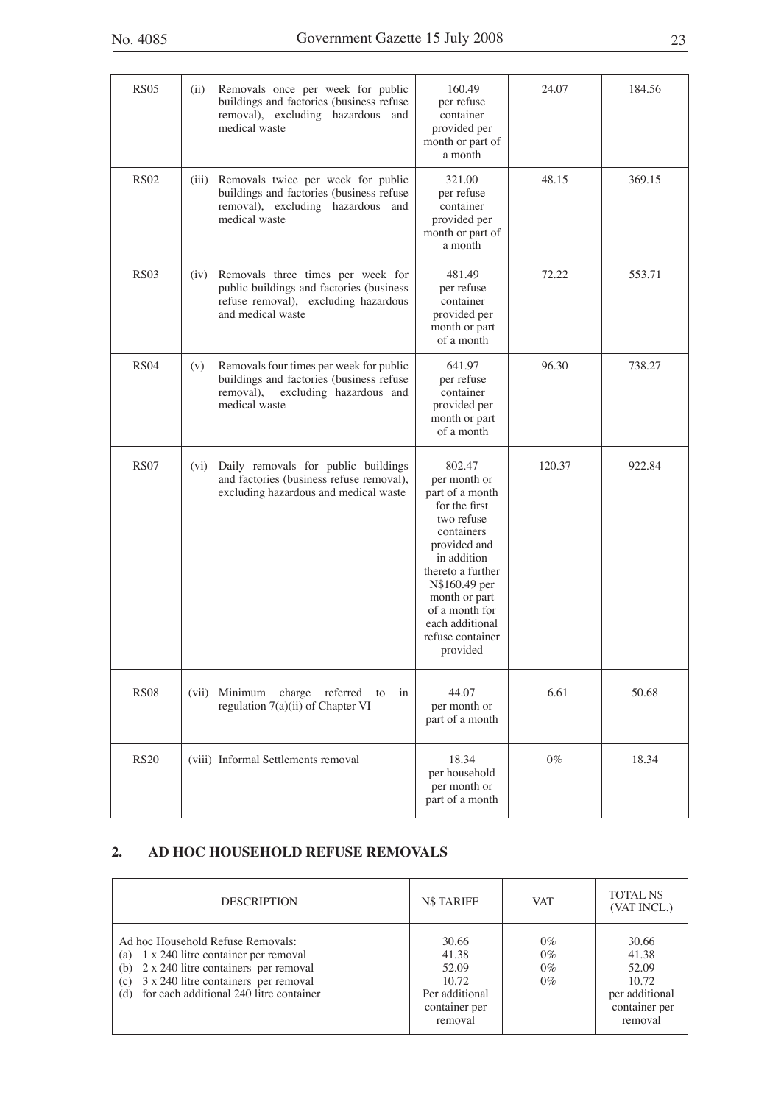| <b>RS05</b> | (ii) | Removals once per week for public<br>buildings and factories (business refuse<br>removal), excluding hazardous and<br>medical waste             | 160.49<br>per refuse<br>container<br>provided per<br>month or part of<br>a month                                                                                                                                                                  | 24.07  | 184.56 |
|-------------|------|-------------------------------------------------------------------------------------------------------------------------------------------------|---------------------------------------------------------------------------------------------------------------------------------------------------------------------------------------------------------------------------------------------------|--------|--------|
| <b>RS02</b> |      | (iii) Removals twice per week for public<br>buildings and factories (business refuse<br>removal), excluding hazardous and<br>medical waste      | 321.00<br>per refuse<br>container<br>provided per<br>month or part of<br>a month                                                                                                                                                                  | 48.15  | 369.15 |
| <b>RS03</b> |      | (iv) Removals three times per week for<br>public buildings and factories (business<br>refuse removal), excluding hazardous<br>and medical waste | 481.49<br>per refuse<br>container<br>provided per<br>month or part<br>of a month                                                                                                                                                                  | 72.22  | 553.71 |
| <b>RS04</b> | (v)  | Removals four times per week for public<br>buildings and factories (business refuse<br>removal),<br>excluding hazardous and<br>medical waste    | 641.97<br>per refuse<br>container<br>provided per<br>month or part<br>of a month                                                                                                                                                                  | 96.30  | 738.27 |
| <b>RS07</b> | (vi) | Daily removals for public buildings<br>and factories (business refuse removal),<br>excluding hazardous and medical waste                        | 802.47<br>per month or<br>part of a month<br>for the first<br>two refuse<br>containers<br>provided and<br>in addition<br>thereto a further<br>N\$160.49 per<br>month or part<br>of a month for<br>each additional<br>refuse container<br>provided | 120.37 | 922.84 |
| <b>RS08</b> |      | (vii) Minimum<br>charge<br>referred<br>in<br>to<br>regulation 7(a)(ii) of Chapter VI                                                            | 44.07<br>per month or<br>part of a month                                                                                                                                                                                                          | 6.61   | 50.68  |
| <b>RS20</b> |      | (viii) Informal Settlements removal                                                                                                             | 18.34<br>per household<br>per month or<br>part of a month                                                                                                                                                                                         | $0\%$  | 18.34  |

#### **2. AD HOC HOUSEHOLD REFUSE REMOVALS**

| <b>DESCRIPTION</b>                                                                                                                                                                                                           | <b>N\$TARIFF</b>                                                               | <b>VAT</b>                       | <b>TOTAL N\$</b><br>(VAT INCL.)                                                |
|------------------------------------------------------------------------------------------------------------------------------------------------------------------------------------------------------------------------------|--------------------------------------------------------------------------------|----------------------------------|--------------------------------------------------------------------------------|
| Ad hoc Household Refuse Removals:<br>1 x 240 litre container per removal<br>(a)<br>(b) 2 x 240 litre containers per removal<br>3 x 240 litre containers per removal<br>(c)<br>for each additional 240 litre container<br>(d) | 30.66<br>41.38<br>52.09<br>10.72<br>Per additional<br>container per<br>removal | $0\%$<br>$0\%$<br>$0\%$<br>$0\%$ | 30.66<br>41.38<br>52.09<br>10.72<br>per additional<br>container per<br>removal |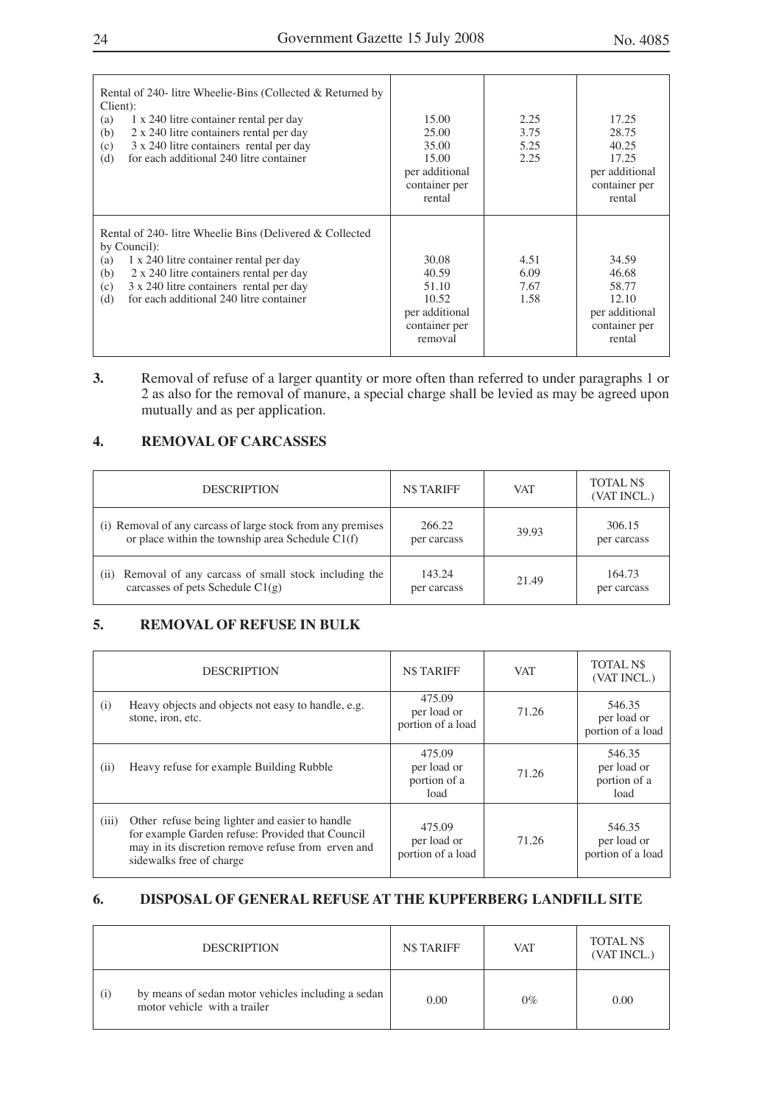| Rental of 240- litre Wheelie-Bins (Collected & Returned by<br>Client):<br>(a)<br>1 x 240 litre container rental per day<br>(b)<br>2 x 240 litre containers rental per day<br>3 x 240 litre containers rental per day<br>(c)<br>for each additional 240 litre container<br>(d)   | 15.00<br>25.00<br>35.00<br>15.00<br>per additional<br>container per<br>rental  | 2.25<br>3.75<br>5.25<br>2.25 | 17.25<br>28.75<br>40.25<br>17.25<br>per additional<br>container per<br>rental |
|---------------------------------------------------------------------------------------------------------------------------------------------------------------------------------------------------------------------------------------------------------------------------------|--------------------------------------------------------------------------------|------------------------------|-------------------------------------------------------------------------------|
| Rental of 240- litre Wheelie Bins (Delivered & Collected<br>by Council):<br>1 x 240 litre container rental per day<br>(a)<br>2 x 240 litre containers rental per day<br>(b)<br>(c)<br>3 x 240 litre containers rental per day<br>for each additional 240 litre container<br>(d) | 30.08<br>40.59<br>51.10<br>10.52<br>per additional<br>container per<br>removal | 4.51<br>6.09<br>7.67<br>1.58 | 34.59<br>46.68<br>58.77<br>12.10<br>per additional<br>container per<br>rental |

**3.** Removal of refuse of a larger quantity or more often than referred to under paragraphs 1 or 2 as also for the removal of manure, a special charge shall be levied as may be agreed upon mutually and as per application.

#### **4. REMOVAL OF CARCASSES**

| <b>DESCRIPTION</b>                                                                                                           | <b>N\$TARIFF</b>      | <b>VAT</b> | <b>TOTAL N\$</b><br>(VAT INCL.) |
|------------------------------------------------------------------------------------------------------------------------------|-----------------------|------------|---------------------------------|
| (i) Removal of any carcass of large stock from any premises<br>or place within the township area Schedule $\overline{C1}(f)$ | 266.22<br>per carcass | 39.93      | 306.15<br>per carcass           |
| Removal of any carcass of small stock including the<br>(i)<br>carcasses of pets Schedule $C1(g)$                             | 143.24<br>per carcass | 21.49      | 164.73<br>per carcass           |

#### **5. REMOVAL OF REFUSE IN BULK**

|       | <b>DESCRIPTION</b>                                                                                                                                                                    | <b>N\$TARIFF</b>                              | <b>VAT</b> | <b>TOTAL NS</b><br>(VAT INCL.)                |
|-------|---------------------------------------------------------------------------------------------------------------------------------------------------------------------------------------|-----------------------------------------------|------------|-----------------------------------------------|
| (i)   | Heavy objects and objects not easy to handle, e.g.<br>stone, iron, etc.                                                                                                               | 475.09<br>per load or<br>portion of a load    | 71.26      | 546.35<br>per load or<br>portion of a load    |
| (ii)  | Heavy refuse for example Building Rubble                                                                                                                                              | 475.09<br>per load or<br>portion of a<br>load | 71.26      | 546.35<br>per load or<br>portion of a<br>load |
| (iii) | Other refuse being lighter and easier to handle<br>for example Garden refuse: Provided that Council<br>may in its discretion remove refuse from erven and<br>sidewalks free of charge | 475.09<br>per load or<br>portion of a load    | 71.26      | 546.35<br>per load or<br>portion of a load    |

#### **6. DISPOSAL OF GENERAL REFUSE AT THE KUPFERBERG LANDFILL SITE**

|     | <b>DESCRIPTION</b>                                                                 | <b>N\$TARIFF</b> | <b>VAT</b> | TOTAL N\$<br>(VAT INCL.) |
|-----|------------------------------------------------------------------------------------|------------------|------------|--------------------------|
| (1) | by means of sedan motor vehicles including a sedan<br>motor vehicle with a trailer | 0.00             | $0\%$      | 0.00                     |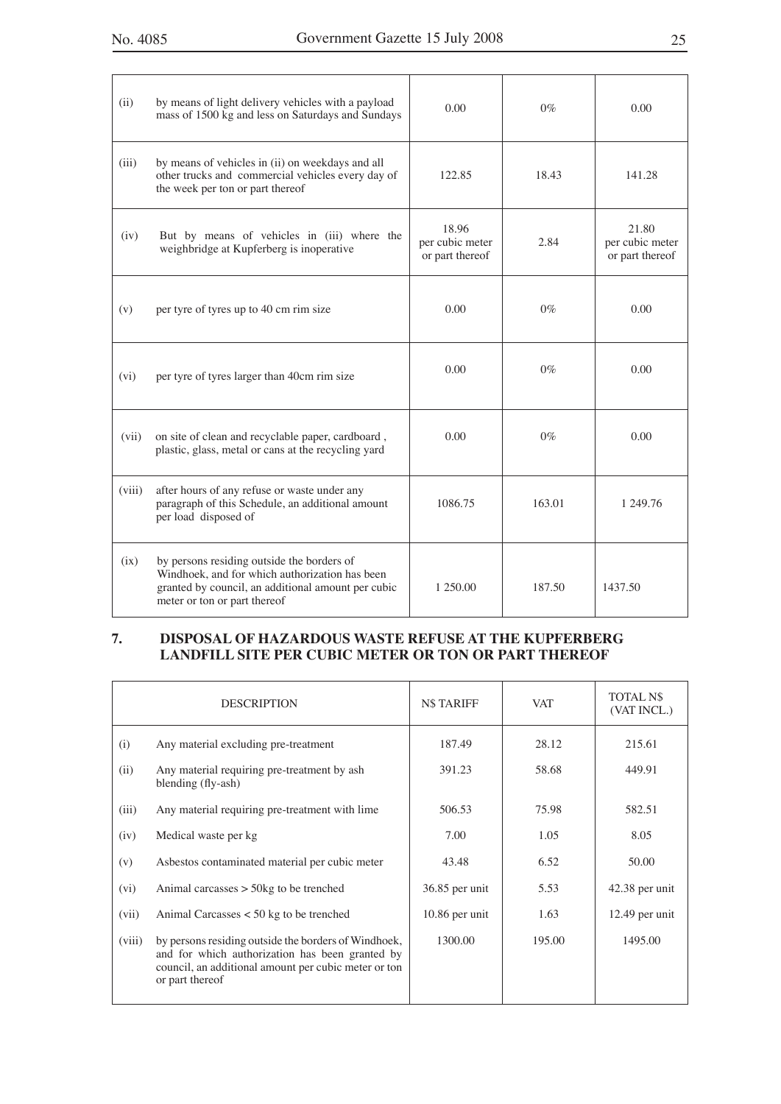| (ii)    | by means of light delivery vehicles with a payload<br>mass of 1500 kg and less on Saturdays and Sundays                                                                            | 0.00                                        | $0\%$  | 0.00                                        |
|---------|------------------------------------------------------------------------------------------------------------------------------------------------------------------------------------|---------------------------------------------|--------|---------------------------------------------|
| (iii)   | by means of vehicles in (ii) on weekdays and all<br>other trucks and commercial vehicles every day of<br>the week per ton or part thereof                                          | 122.85                                      | 18.43  | 141.28                                      |
| (iv)    | But by means of vehicles in (iii) where the<br>weighbridge at Kupferberg is inoperative                                                                                            | 18.96<br>per cubic meter<br>or part thereof | 2.84   | 21.80<br>per cubic meter<br>or part thereof |
| (v)     | per tyre of tyres up to 40 cm rim size                                                                                                                                             | 0.00                                        | $0\%$  | 0.00                                        |
| $(v_i)$ | per tyre of tyres larger than 40cm rim size                                                                                                                                        | 0.00                                        | $0\%$  | 0.00                                        |
| (vii)   | on site of clean and recyclable paper, cardboard,<br>plastic, glass, metal or cans at the recycling yard                                                                           | 0.00                                        | $0\%$  | 0.00                                        |
| (viii)  | after hours of any refuse or waste under any<br>paragraph of this Schedule, an additional amount<br>per load disposed of                                                           | 1086.75                                     | 163.01 | 1 249.76                                    |
| (ix)    | by persons residing outside the borders of<br>Windhoek, and for which authorization has been<br>granted by council, an additional amount per cubic<br>meter or ton or part thereof | 1 250.00                                    | 187.50 | 1437.50                                     |

#### **7. DISPOSAL OF HAZARDOUS WASTE REFUSE AT THE KUPFERBERG LANDFILL SITE PER CUBIC METER OR TON OR PART THEREOF**

|        | <b>DESCRIPTION</b>                                                                                                                                                                 | <b>N\$TARIFF</b> | <b>VAT</b> | <b>TOTAL NS</b><br>(VAT INCL.) |
|--------|------------------------------------------------------------------------------------------------------------------------------------------------------------------------------------|------------------|------------|--------------------------------|
| (i)    | Any material excluding pre-treatment                                                                                                                                               | 187.49           | 28.12      | 215.61                         |
| (ii)   | Any material requiring pre-treatment by ash<br>blending (fly-ash)                                                                                                                  | 391.23           | 58.68      | 449.91                         |
| (iii)  | Any material requiring pre-treatment with lime                                                                                                                                     | 506.53           | 75.98      | 582.51                         |
| (iv)   | Medical waste per kg                                                                                                                                                               | 7.00             | 1.05       | 8.05                           |
| (v)    | Asbestos contaminated material per cubic meter                                                                                                                                     | 43.48            | 6.52       | 50.00                          |
| (vi)   | Animal carcasses $>$ 50 $kg$ to be trenched                                                                                                                                        | $36.85$ per unit | 5.53       | $42.38$ per unit               |
| (vii)  | Animal Carcasses $<$ 50 kg to be trenched                                                                                                                                          | $10.86$ per unit | 1.63       | 12.49 per unit                 |
| (viii) | by persons residing outside the borders of Windhoek,<br>and for which authorization has been granted by<br>council, an additional amount per cubic meter or ton<br>or part thereof | 1300.00          | 195.00     | 1495.00                        |